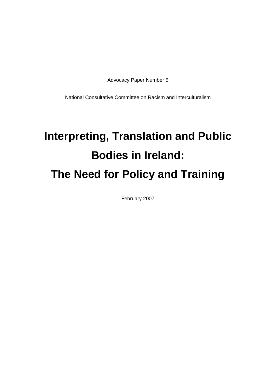Advocacy Paper Number 5

National Consultative Committee on Racism and Interculturalism

## **Interpreting, Translation and Public Bodies in Ireland: The Need for Policy and Training**

February 2007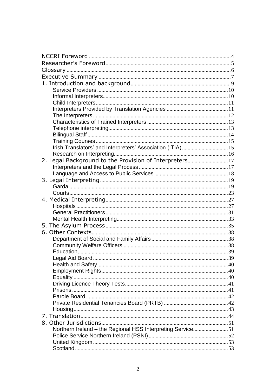| Irish Translators' and Interpreters' Association (ITIA)15  |  |
|------------------------------------------------------------|--|
|                                                            |  |
| 2. Legal Background to the Provision of Interpreters17     |  |
|                                                            |  |
|                                                            |  |
|                                                            |  |
|                                                            |  |
|                                                            |  |
|                                                            |  |
|                                                            |  |
|                                                            |  |
|                                                            |  |
|                                                            |  |
|                                                            |  |
|                                                            |  |
|                                                            |  |
|                                                            |  |
|                                                            |  |
|                                                            |  |
|                                                            |  |
|                                                            |  |
|                                                            |  |
|                                                            |  |
|                                                            |  |
|                                                            |  |
|                                                            |  |
|                                                            |  |
|                                                            |  |
| Northern Ireland - the Regional HSS Interpreting Service51 |  |
|                                                            |  |
|                                                            |  |
|                                                            |  |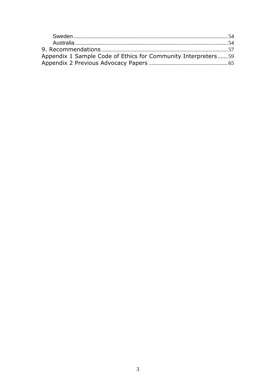| Appendix 1 Sample Code of Ethics for Community Interpreters 59 |  |
|----------------------------------------------------------------|--|
|                                                                |  |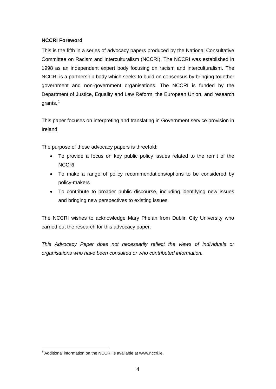#### **NCCRI Foreword**

This is the fifth in a series of advocacy papers produced by the National Consultative Committee on Racism and Interculturalism (NCCRI). The NCCRI was established in 1998 as an independent expert body focusing on racism and interculturalism. The NCCRI is a partnership body which seeks to build on consensus by bringing together government and non-government organisations. The NCCRI is funded by the Department of Justice, Equality and Law Reform, the European Union, and research grants. $1$ 

This paper focuses on interpreting and translating in Government service provision in Ireland.

The purpose of these advocacy papers is threefold:

- $\bullet$  To provide a focus on key public policy issues related to the remit of the **NCCRI**
- To make a range of policy recommendations/options to be considered by policy-makers
- To contribute to broader public discourse, including identifying new issues and bringing new perspectives to existing issues.

The NCCRI wishes to acknowledge Mary Phelan from Dublin City University who carried out the research for this advocacy paper.

This Advocacy Paper does not necessarily reflect the views of individuals or organisations who have been consulted or who contributed information.

 $1$  Additional information on the NCCRI is available at [www.nccri.ie.](http://www.nccri.ie.)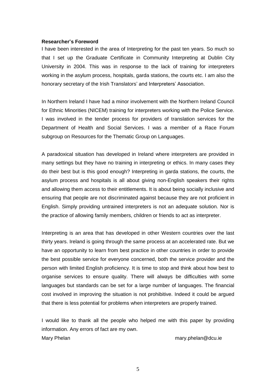#### **Researcherí<sup>s</sup> Foreword**

I have been interested in the area of Interpreting for the past ten years. So much so that I set up the Graduate Certificate in Community Interpreting at Dublin City University in 2004. This was in response to the lack of training for interpreters working in the asylum process, hospitals, garda stations, the courts etc. I am also the working in the asylum process, hospitals, garda stations, the courts etc. I am<br>honorary secretary of the Irish Translators' and Interpreters' Association.

In Northern Ireland I have had a minor involvement with the Northern Ireland Council for Ethnic Minorities (NICEM) training for interpreters working with the Police Service. I was involved in the tender process for providers of translation services for the Department of Health and Social Services. I was a member of a Race Forum subgroup on Resources for the Thematic Group on Languages.

A paradoxical situation has developed in Ireland where interpreters are provided in many settings but they have no training in interpreting or ethics. In many cases they do their best but is this good enough? Interpreting in garda stations, the courts, the asylum process and hospitals is all about giving non-English speakers their rights and allowing them access to their entitlements. It is about being socially inclusive and ensuring that people are not discriminated against because they are not proficient in English. Simply providing untrained interpreters is not an adequate solution. Nor is the practice of allowing family members, children or friends to act as interpreter.

Interpreting is an area that has developed in other Western countries over the last thirty years. Ireland is going through the same process at an accelerated rate. But we have an opportunity to learn from best practice in other countries in order to provide the best possible service for everyone concerned, both the service provider and the person with limited English proficiency. It is time to stop and think about how best to organise services to ensure quality. There will always be difficulties with some languages but standards can be set for a large number of languages. The financial cost involved in improving the situation is not prohibitive. Indeed it could be argued that there is less potential for problems when interpreters are properly trained.

I would like to thank all the people who helped me with this paper by providing information. Any errors of fact are my own. Mary Phelan mary.phelan [mary.phelan@dcu.ie](mailto:mary.phelan@dcu.ie)

5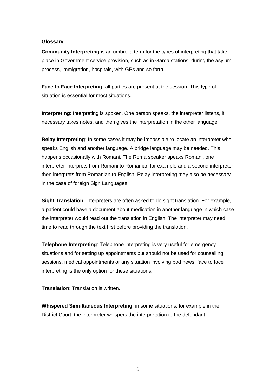#### **Glossary**

**Community Interpreting** is an umbrella term for the types of interpreting that take place in Government service provision, such as in Garda stations, during the asylum process, immigration, hospitals, with GPs and so forth.

**Face to Face Interpreting**: all parties are present at the session. This type of situation is essential for most situations.

**Interpreting**: Interpreting is spoken. One person speaks, the interpreter listens, if necessary takes notes, and then gives the interpretation in the other language.

**Relay Interpreting**: In some cases it may be impossible to locate an interpreter who speaks English and another language. A bridge language may be needed. This happens occasionally with Romani. The Roma speaker speaks Romani, one interpreter interprets from Romani to Romanian for example and a second interpreter then interprets from Romanian to English. Relay interpreting may also be necessary in the case of foreign Sign Languages.

**Sight Translation**: Interpreters are often asked to do sight translation. For example, a patient could have a document about medication in another language in which case the interpreter would read out the translation in English. The interpreter may need time to read through the text first before providing the translation.

**Telephone Interpreting**: Telephone interpreting is very useful for emergency situations and for setting up appointments but should not be used for counselling sessions, medical appointments or any situation involving bad news; face to face interpreting is the only option for these situations.

**Translation**: Translation is written.

**Whispered Simultaneous Interpreting**: in some situations, for example in the District Court, the interpreter whispers the interpretation to the defendant.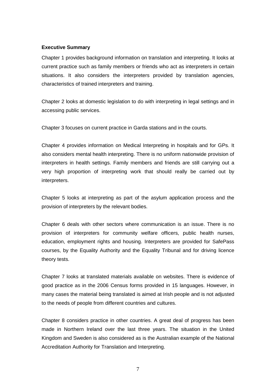#### **Executive Summary**

Chapter 1 provides background information on translation and interpreting. It looks at current practice such as family members or friends who act as interpreters in certain situations. It also considers the interpreters provided by translation agencies, characteristics of trained interpreters and training.

Chapter 2 looks at domestic legislation to do with interpreting in legal settings and in accessing public services.

Chapter 3 focuses on current practice in Garda stations and in the courts.

Chapter 4 provides information on Medical Interpreting in hospitals and forGPs. It also considers mental health interpreting. There is no uniform nationwide provision of interpreters in health settings. Family members and friends are still carrying out a very high proportion of interpreting work that should really be carried out by interpreters.

Chapter 5 looks at interpreting as part of the asylum application process and the provision of interpreters by the relevant bodies.

Chapter 6 deals with other sectors where communication is an issue. There is no provision of interpreters for community welfare officers, public health nurses, education, employment rights and housing. Interpreters are provided for SafePass courses, by the Equality Authority and the Equality Tribunal and for driving licence theory tests.

Chapter 7 looks at translated materials available on websites. There is evidence of good practice as in the 2006 Census forms provided in 15 languages. However, in many cases the material being translated is aimed at Irish people and is not adjusted to the needs of people from different countries and cultures.

Chapter 8 considers practice in other countries. A great deal of progress has been made in Northern Ireland over the last three years. The situation in the United Kingdom and Sweden is also considered as is the Australian example of the National Accreditation Authority for Translation and Interpreting.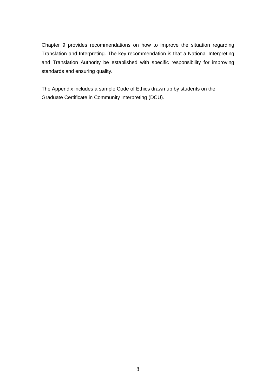Chapter 9 provides recommendations on how to improve the situation regarding Translation and Interpreting. The key recommendation is that a National Interpreting and Translation Authority be established with specific responsibility for improving standards and ensuring quality.

The Appendix includes a sample Code of Ethics drawn up by students on the Graduate Certificate in Community Interpreting (DCU).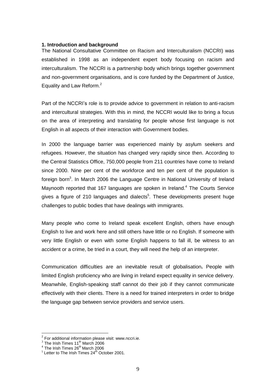#### **1. Introduction and background**

The National Consultative Committee on Racism and Interculturalism (NCCRI) was established in 1998 as an independent expert body focusing on racism and interculturalism. The NCCRI is a partnership body which brings together government and non-government organisations, and is core funded by the Department of Justice, Equality and Law Reform.<sup>2</sup>

Part of the NCCRIís role is to provide advice to government in relation to anti-racism and intercultural strategies. With this in mind, the NCCRI would like to bring a focus on the area of interpreting and translating for people whose first language is not English in all aspects of their interaction with Government bodies.

In 2000 the language barrier was experienced mainly by asylum seekers and refugees. However, the situation has changed very rapidly since then. According to the Central Statistics Office, 750,000 people from 211 countries have come to Ireland since 2000. Nine per cent of the workforce and ten per cent of the population is foreign born<sup>3</sup>. In March 2006 the Language Centre in National University of Ireland Maynooth reported that 167 languages are spoken in Ireland.<sup>4</sup> The Courts Service gives a figure of 210 languages and dialects<sup>5</sup>. These developments present huge challenges to public bodies that have dealings with immigrants.

Many people who come to Ireland speak excellent English, others have enough English to live and work here and still others have little or no English. If someone with very little English or even with some English happens to fall ill, be witness to an accident or a crime, be tried in a court, they will need the help of an interpreter.

Communication difficulties are an inevitable result of globalisation**.** People with limited English proficiency who are living in Ireland expect equality in service delivery. Meanwhile, English-speaking staff cannot do their job if they cannot communicate effectively with their clients. There is a need for trained interpreters in order to bridge the language gap between service providers and service users.

 $2$  For additional information please visit: [www.nccri.ie.](http://www.nccri.ie.)

 $3$  The Irish Times 11<sup>th</sup> March 2006

 $^4$  The Irish Times 26 $^{\rm th}$ March 2006

 $<sup>5</sup>$  Letter to The Irish Times 24<sup>th</sup> October 2001.</sup>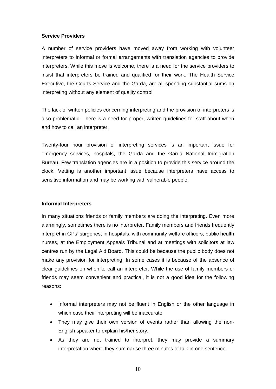#### **Service Providers**

A number of service providers have moved away from working with volunteer interpreters to informal or formal arrangements with translation agencies to provide interpreters. While this move is welcome, there is a need for the service providers to insist that interpreters be trained and qualified for their work. The Health Service Executive, the Courts Service and the Garda, are all spending substantial sums on interpreting without any element of quality control.

The lack of written policies concerning interpreting and the provision of interpreters is also problematic. There is a need for proper, written guidelines for staff about when and how to call an interpreter.

Twenty-four hour provision of interpreting services is an important issue for emergency services, hospitals, the Garda and the Garda National Immigration Bureau. Few translation agencies are in a position to provide this service around the clock. Vetting is another important issue because interpreters have access to sensitive information and may be working with vulnerable people.

#### **Informal Interpreters**

In many situations friends or family members are doing the interpreting. Even more alarmingly, sometimes there is no interpreter. Family members and friends frequently in their, channels increase of remay monitorial end along the interpreting. Then more<br>alarmingly, sometimes there is no interpreter. Family members and friends frequently<br>interpret in GPs' surgeries, in hospitals, with com nurses, at the Employment Appeals Tribunal and at meetings with solicitors at law centres run by the Legal Aid Board. This could be because the public body does not make any provision for interpreting. In some cases it is because of the absence of clear guidelines on when to call an interpreter. While the use of family members or friends may seem convenient and practical, it is not a good idea for the following reasons:

- Informal interpreters may not be fluent in English or the other language in  $\bullet$ which case their interpreting will be inaccurate.
- They may give their own version of events rather than allowing the non-English speaker to explain his/her story.
- As they are not trained to interpret, they may provide a summary  $\bullet$ interpretation where they summarise three minutes of talk in one sentence.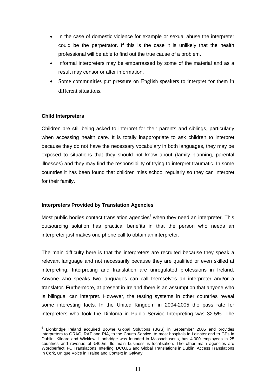- In the case of domestic violence for example or sexual abuse the interpreter could be the perpetrator. If this is the case it is unlikely that the health professional will be able to find out the true cause of <sup>a</sup> problem.
- Informal interpreters may be embarrassed by some of the material and as a result may censor or alter information.
- $\bullet$  Some communities put pressure on English speakers to interpret for them in different situations.

#### **Child Interpreters**

Children are still being asked to interpret for their parents and siblings, particularly when accessing health care. It is totally inappropriate to ask children to interpret because they do not have the necessary vocabulary in both languages, they may be exposed to situations that they should not know about (family planning, parental illnesses) and they may find the responsibility of trying to interpret traumatic. In some countries it has been found that children miss school regularly so they can interpret for their family.

#### **Interpreters Provided by Translation Agencies**

Most public bodies contact translation agencies<sup>6</sup> when they need an interpreter. This outsourcing solution has practical benefits in that the person who needs an interpreter just makes one phone call to obtain an interpreter.

The main difficulty here is that the interpreters are recruited because they speak a relevant language and not necessarily because they are qualified or even skilled at interpreting. Interpreting and translation are unregulated professions in Ireland. Anyone who speaks two languages can call themselves an interpreter and/or a translator. Furthermore, at present in Ireland there is an assumption that anyone who is bilingual can interpret. However, the testing systems in other countries reveal some interesting facts. In the United Kingdom in 2004-2005 the pass rate for interpreters who took the Diploma in Public Service Interpreting was 32.5%. The

<sup>6</sup> Lionbridge Ireland acquired Bowne Global Solutions (BGS) in September 2005 and provides interpreters to ORAC, RAT and RIA, to the Courts Service, to most hospitals in Leinster and to GPs in Dublin, Kildare and Wicklow. Lionbridge was founded in Massachusetts, has 4,000 employees in 25 countries and revenue o Dublin, Kildare and Wicklow. Lionbridge was founded in Massachusetts, has 4,000 employees in 25 Wordperfect, FC Translations, Interling, DCU.LS and Global Translations in Dublin, Access Translations in Cork, Unique Voice in Tralee and Context in Galway.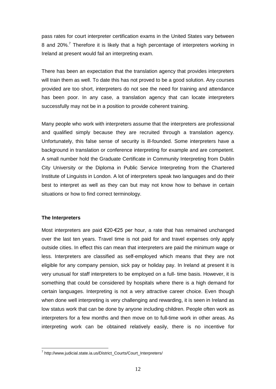pass rates for court interpreter certification exams in the United States vary between 8 and 20%.<sup>7</sup> Therefore it is likely that a high percentage of interpreters working in Ireland at present would fail an interpreting exam.

There has been an expectation that the translation agency that provides interpreters will train them as well. To date this has not proved to be a good solution. Any courses provided are too short, interpreters do not see the need for training and attendance has been poor. In any case, a translation agency that can locate interpreters successfully may not be in a position to provide coherent training.

Many people who work with interpreters assume that the interpreters are professional and qualified simply because they are recruited through a translation agency. Unfortunately, this false sense of security is ill-founded. Some interpreters have a background in translation or conference interpreting for example and are competent. A small number hold the Graduate Certificate in Community Interpreting from Dublin City University or the Diploma in Public Service Interpreting from the Chartered Institute of Linguists in London. A lot of interpreters speak two languages and do their best to interpret as well as they can but may not know how to behave in certain situations or how to find correct terminology.

#### **The Interpreters**

Most interpreters are paid  $\epsilon$ 20- $\epsilon$ 25 per hour, a rate that has remained unchanged over the last ten years. Travel time is not paid for and travel expenses only apply outside cities. In effect this can mean that interpreters are paid the minimum wage or less. Interpreters are classified as self-employed which means that they are not eligible for any company pension, sick pay or holiday pay. In Ireland at present it is very unusual for staff interpreters to be employed on a full- time basis. However, it is something that could be considered by hospitals where there is a high demand for certain languages. Interpreting is not a very attractive career choice. Even though when done well interpreting is very challenging and rewarding, it is seen in Ireland as low status work that can be done by anyone including children. People often work as interpreters for a few months and then move on to full-time work in other areas. As interpreting work can be obtained relatively easily, there is no incentive for

<sup>7</sup> [http://www.judicial.state.ia.us/District\\_Courts/Court\\_Interpreters/](http://www.judicial.state.ia.us/District_Courts/Court_Interpreters/)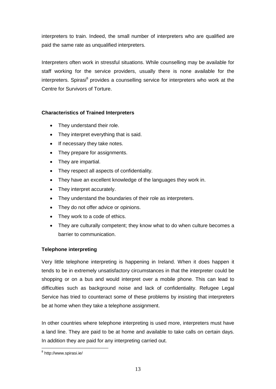interpreters to train. Indeed, the small number of interpreters who are qualified are paid the same rate as unqualified interpreters.

Interpreters often work in stressful situations. While counselling may be available for staff working for the service providers, usually there is none available for the interpreters. Spirasi<sup>8</sup> provides a counselling service for interpreters who work at the Centre for Survivors of Torture.

#### **Characteristics of Trained Interpreters**

- They understand their role.
- They interpret everything that is said.
- If necessary they take notes.
- They prepare for assignments.
- They are impartial.
- They respect all aspects of confidentiality.
- They have an excellent knowledge of the languages they work in.
- They interpret accurately.
- They understand the boundaries of their role as interpreters.
- They do not offer advice or opinions.
- They work to <sup>a</sup> code of ethics.
- They are culturally competent; they know what to do when culture becomes a  $\bullet$ barrier to communication.

#### **Telephone interpreting**

Very little telephone interpreting is happening in Ireland. When it does happen it tends to be in extremely unsatisfactory circumstances in that the interpreter could be shopping or on a bus and would interpret over a mobile phone. This can lead to difficulties such as background noise and lack of confidentiality. Refugee Legal Service has tried to counteract some of these problems by insisting that interpreters be at home when they take a telephone assignment.

In other countries where telephone interpreting is used more, interpreters must have a land line. They are paid to be at home and available to take calls on certain days. In addition they are paid for any interpreting carried out.

<sup>8</sup> <http://www.spirasi.ie/>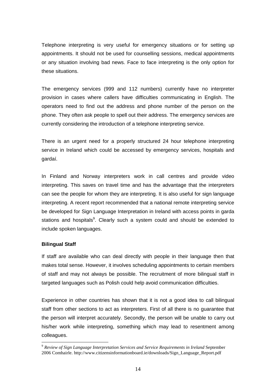Telephone interpreting is very useful for emergency situations or for setting up appointments. It should not be used for counselling sessions, medical appointments or any situation involving bad news. Face to face interpreting is the only option for these situations.

The emergency services (999 and 112 numbers) currently have no interpreter provision in cases where callers have difficulties communicating in English. The operators need to find out the address and phone number of the person on the phone. They often ask people to spell out their address. The emergency services are currently considering the introduction of a telephone interpreting service.

There is an urgent need for a properly structured 24 hour telephone interpreting service in Ireland which could be accessed by emergency services, hospitals and service in I<br>service in I<br>gardaí.

In Finland and Norway interpreters work in call centres and provide video interpreting. This saves on travel time and has the advantage that the interpreters can see the people for whom they are interpreting. It is also useful for sign language interpreting. A recent report recommended that a national remote interpreting service be developed for Sign Language Interpretation in Ireland with access points in garda stations and hospitals<sup>9</sup>. Clearly such a system could and should be extended to include spoken languages.

#### **Bilingual Staff**

If staff are available who can deal directly with people in their language then that makes total sense. However, it involves scheduling appointments to certain members of staff and may not always be possible. The recruitment of more bilingual staff in targeted languages such as Polish could help avoid communication difficulties.

Experience in other countries has shown that it is not a good idea to call bilingual staff from other sections to act as interpreters. First of all there is no guarantee that the person will interpret accurately. Secondly, the person will be unable to carry out his/her work while interpreting, something which may lead to resentment among colleagues.

<sup>9</sup> *Review of Sign Language Interpretation Services and Service Requirements in Ireland* September 2006 Comhairle. http://www.citizensinformationboard.ie/downloads/Sign\_Language\_Report.pdf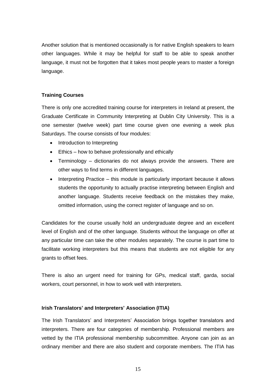Another solution that is mentioned occasionally is for native English speakers to learn other languages. While it may be helpful for staff to be able to speak another language, it must not be forgotten that it takes most people years to master a foreign language.

#### **Training Courses**

There is only one accredited training course for interpreters in Ireland at present, the Graduate Certificate in Community Interpreting at Dublin City University. This is a one semester (twelve week) part time course given one evening a week plus Saturdays. The course consists of four modules:

- Introduction to Interpreting
- Ethics how to behave professionally and ethically  $\bullet$
- $\bullet$  Terminology dictionaries do not always provide the answers. There are other ways to find terms in different languages.
- Interpreting Practice this module is particularly important because it allows  $\bullet$ students the opportunity to actually practise interpreting between English and another language. Students receive feedback on the mistakes they make, omitted information, using the correct register of language and so on.

Candidates for the course usually hold an undergraduate degree and an excellent level of English and of the other language. Students without the language on offer at any particular time can take the other modules separately. The course is part time to facilitate working interpreters but this means that students are not eligible forany grants to offset fees.

There is also an urgent need for training for GPs, medical staff, garda, social workers, court personnel, in how to work well with interpreters.

#### **Irish Translators<sup>í</sup> and Interpreters<sup>í</sup> Association (ITIA)**

The Irish Translators<sup>í</sup> an<sup>d</sup> Interpreters<sup>í</sup> Association brings together translators and interpreters. There are four categories of membership. Professional members are vetted by the ITIA professional membership subcommittee. Anyone can join as an ordinary member and there are also student and corporate members. The ITIA has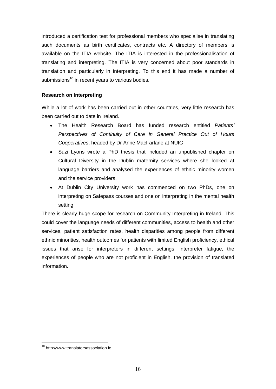introduced a certification test for professional members who specialise in translating such documents as birth certificates, contracts etc. A directory of members is available on the ITIA website. The ITIA is interested in the professionalisation of translating and interpreting. The ITIA is very concerned about poor standards in translation and particularly in interpreting. To this end it has made a number of submissions<sup>10</sup> in recent years to various bodies.

#### **Research on Interpreting**

While a lot of work has been carried out in other countries, very little research has been carried out to date in Ireland.

- The Health Research Board has funded research entitled Patients*<sup>í</sup>* Perspectives of Continuity of Care in General Practice Out of Hours Cooperatives, headed by Dr Anne MacFarlane at NUIG.
- Suzi Lyons wrote a PhD thesis that included an unpublished chapter on Cultural Diversity in the Dublin maternity services where she looked at language barriers and analysed the experiences of ethnic minority women and the service providers.
- At Dublin City University work has commenced on two PhDs, one on interpreting on Safepass courses and one on interpreting in the mental health setting.

There is clearly huge scope for research on Community Interpreting in Ireland. This could cover the language needs of different communities, access to health and other services, patient satisfaction rates, health disparities among people from different ethnic minorities, health outcomes for patients with limited English proficiency, ethical issues that arise for interpreters in different settings, interpreter fatigue, the experiences of people who are not proficient in English, the provision of translated information.

<sup>10</sup> <http://www.translatorsassociation.ie>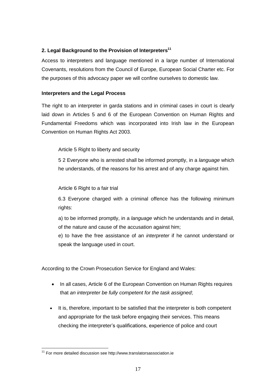#### **2. Legal Background to the Provision of Interpreters 11**

Access to interpreters and language mentioned in a large number of International Covenants, resolutions from the Council of Europe, European Social Charter etc. For the purposes of this advocacy paper we will confine ourselves to domestic law.

#### **Interpreters and the Legal Process**

The right to an interpreter in garda stations and in criminal cases in court is clearly laid down in Articles 5 and 6 of the European Convention on Human Rights and Fundamental Freedoms which was incorporated into Irish law in the European Convention on Human Rights Act 2003.

Article 5 Right to liberty and security

5 2 Everyone who is arrested shall be informed promptly, in a language which he understands, of the reasons for his arrest and of any charge against him.

Article 6 Right to a fair trial

6.3 Everyone charged with a criminal offence has the following minimum rights:

a) to be informed promptly, in a language which he understands and in detail, of the nature and cause of the accusation against him;

e) to have the free assistance of an interpreter if he cannot understand or speak the language used in court.

According to the Crown Prosecution Service for England and Wales:

- In all cases, Article 6 of the European Convention on Human Rights requires that an interpreter be fully competent for the task assigned;
- $\bullet$  It is, therefore, important to be satisfied that the interpreter is both competent checking the interpreterist and appropriate for the task before engaging their services. This means<br>checking the interpreter's qualifications, experience of police and court and appropriate for the task before engaging their services. This means

<sup>11</sup> For more detailed discussion see <http://www.translatorsassociation.ie>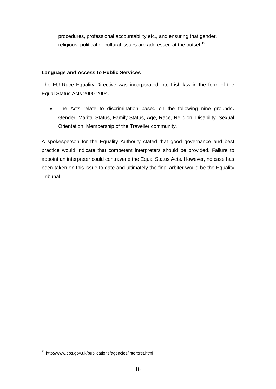procedures, professional accountability etc., and ensuring that gender, religious, political or cultural issues are addressed at the outset.<sup>12</sup>

#### **Language and Access to Public Services**

The EU Race Equality Directive was incorporated into Irish law in the form of the Equal Status Acts 2000-2004.

 The Acts relate to discrimination based on the following nine grounds**:**  $\bullet$ Gender, Marital Status, Family Status, Age, Race, Religion, Disability, Sexual Orientation, Membership of the Traveller community.

A spokesperson for the Equality Authority stated that good governance and best practice would indicate that competent interpreters should be provided. Failure to appoint an interpreter could contravene the Equal Status Acts. However, no case has been taken on this issue to date and ultimately the final arbiter would be the Equality Tribunal.

<sup>12</sup> <http://www.cps.gov.uk/publications/agencies/interpret.html>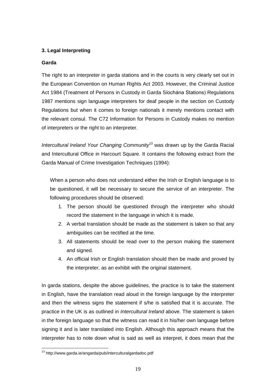#### **3. Legal Interpreting**

#### **Garda**

The right to an interpreter in garda stations and in the courts is very clearly set out in the European Convention on Human Rights Act 2003. However, the Criminal Justice Act 1984 (Treatment of Persons in Custody in Garda Síochána Stations) Regulations 1987 mentions sign language interpreters for deaf people in the section on Custody Regulations but when it comes to foreign nationals it merely mentions contact with the relevant consul. The C72 Information for Persons in Custody makes no mention of interpreters or the right to an interpreter.

Intercultural Ireland Your Changing Community<sup>13</sup> was drawn up by the Garda Racial and Intercultural Office in Harcourt Square. It contains the following extract from the Garda Manual of Crime Investigation Techniques (1994):

When a person who does not understand either the Irish or English language is to be questioned, it will be necessary to secure the service of an interpreter. The following procedures should be observed:

- 1. The person should be questioned through the interpreter who should record the statement in the language in which it is made.
- 2. A verbal translation should be made as the statement is taken so that any ambiguities can be rectified at the time.
- 3. All statements should be read over to the person making the statement and signed.
- 4. An official Irish or English translation should then be made and proved by the interpreter, as an exhibit with the original statement.

In garda stations, despite the above guidelines, the practice is to take the statement in English, have the translation read aloud in the foreign language by the interpreter and then the witness signs the statement if s/he is satisfied that it is accurate. The practice in the UK is as outlined in Intercultural Ireland above. The statement is taken in the foreign language so that the witness can read it in his/her own language before signing it and is later translated into English. Although this approach means that the interpreter has to note down what is said as well as interpret, it does mean that the

<sup>13</sup> http://www.garda.ie/angarda/pub/interculturalgardadoc.pdf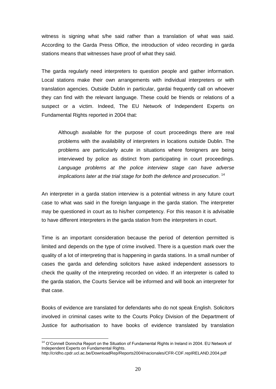witness is signing what s/he said rather than a translation of what was said. According to the Garda Press Office, the introduction of video recording in garda stations means that witnesses have proof of what they said.

The garda regularly need interpreters to question people and gather information. Local stations make their own arrangements with individual interpreters or with translation agencies. Outside Dublin in particular, gardai frequently call on whoever they can find with the relevant language. These could be friends or relations of a suspect or a victim. Indeed, The EU Network of Independent Experts on Fundamental Rights reported in 2004 that:

Although available for the purpose of court proceedings there are real problems with the availability of interpreters in locations outside Dublin. The problems are particularly acute in situations where foreigners are being interviewed by police as distinct from participating in court proceedings. Language problems at the police interview stage can have adverse implications later at the trial stage for both the defence and prosecution. <sup>14</sup>

An interpreter in a garda station interview is a potential witness in any future court case to what was said in the foreign language in the garda station. The interpreter may be questioned in court as to his/her competency. For this reason it is advisable to have different interpreters in the garda station from the interpreters in court.

Time is an important consideration because the period of detention permitted is limited and depends on the type of crime involved. There is a question mark over the quality of a lot of interpreting that is happening in garda stations. In a small number of cases the garda and defending solicitors have asked independent assessors to check the quality of the interpreting recorded on video. If an interpreter is called to the garda station, the Courts Service will be informed and will book an interpreter for that case.

Books of evidence are translated for defendants who do not speak English. Solicitors involved in criminal cases write to the Courts Policy Division of the Department of Justice for authorisation to have books of evidence translated by translation

<sup>&</sup>lt;sup>14</sup> O'Connell Donncha Report on the Situation of Fundamental Rights in Ireland in 2004. EU Network of Independent Experts on Fundamental Rights.

http://cridho.cpdr.ucl.ac.be/DownloadRep/Reports2004/nacionales/CFR-CDF.repIRELAND.2004.pdf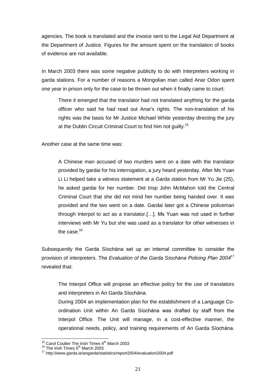agencies. The book is translated and the invoice sent to the Legal Aid Department at the Department of Justice. Figures for the amount spent on the translation of books of evidence are not available.

In March 2003 there was some negative publicity to do with interpreters working in garda stations. For a number of reasons a Mongolian man called Anar Odon spent one year in prison only for the case to be thrown out when it finally came to court:

There it emerged that the translator had not translated anything for the garda officer who said he had read out Anar's rights. The non-translation of his rights was the basis for Mr Justice Michael White yesterday directing the jury at the Dublin Circuit Criminal Court to find him not guilty.<sup>15</sup>

Another case at the same time was:

A Chinese man accused of two murders went on a date with the translator provided by gardai for his interrogation, a jury heard yesterday. After Ms Yuan Li Li helped take a witness statement at a Garda station from Mr Yu Jie (25), he asked gardai for her number. Det Insp John McMahon told the Central Criminal Court that she did not mind her number being handed over. It was provided and the two went on a date. Gardai later got a Chinese policeman through Interpol to act as a translator.[...]. Ms Yuan was not used in further interviews with Mr Yu but she was used as a translator for other witnesses in the case.<sup>16</sup>

was the case.<br>Subsequently the Garda Síochána set up an internal committee to consider the Subsequently the Garda Síochána set up an internal committee to consider the<br>provision of interpreters. The *Evaluation of the Garda Síochána Policing Plan 2004<sup>17</sup>* provision of interpreters. The Evaluation of the Garda Siochána Policing Plan 2004<sup>17</sup> revealed that:

The Interpol Office will propose an effective policy for the use of translators The Interpol Office will propose an effective<br>and interpreters in An Garda Síochána.

During 2004 an implementation plan for the establishment of a Language Co and interpreters in An Garda Síochána.<br>During 2004 an implementation plan for the establishment of a Language Co-<br>ordination Unit within An Garda Síochána was drafted by staff from the Interpol Office. The Unit will manage, in a cost-effective manner, the orthicated office. The Unit will manage, in a cost-effective manner, the<br>operational needs, policy, and training requirements of An Garda Síochána.

 $15$  Carol Coulter The Irish Times  $4<sup>th</sup>$  March 2003

 $^{\rm 16}$  The Irish Times  $5^{\rm th}$  March 2003

<sup>&</sup>lt;sup>17</sup> http://www.garda.ie/angarda/statistics/report2004/evaluation2004.pdf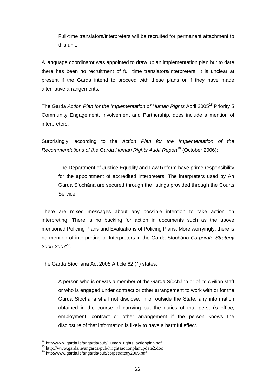Full-time translators/interpreters will be recruited for permanent attachment to this unit.

A language coordinator was appointed to draw up an implementation plan but to date there has been no recruitment of full time translators/interpreters. It is unclear at present if the Garda intend to proceed with these plans or if they have made alternative arrangements.

The Garda *Action Plan for the Implementation of Human Rights* April 2005<sup>18</sup> Priority 5 Community Engagement, Involvement and Partnership, does include a mention of interpreters:

Surprisingly, according to the Action Plan for the Implementation of the Recommendations of the Garda Human Rights Audit Report<sup>19</sup> (October 2006):

The Department of Justice Equality and Law Reform have prime responsibility for the appointment of accredited interpreters. The interpreters used by An Fire Department of accredited interpreters. The interpreters used by An<br>Garda Síochána are secured through the listings provided through the Courts Service.

There are mixed messages about any possible intention to take action on interpreting. There is no backing for action in documents such as the above mentioned Policing Plans and Evaluations of Policing Plans. More worryingly, there is merpremight mere the method washing for assemble assemble start as the discrepancy mentioned Policing Plans and Evaluations of Policing Plans. More worryingly, there is<br>no mention of interpreting or Interpreters in the Gar 2005-2007 20 .

The Garda Síochána Act 2005 Article 62 (1) states:

A person who is or was a member of the Garda Síochána or of its civilian staff or who is engaged under contract or other arrangement to work with or for the Garda Siochána shall not disclose, in or outside the State, any information<br>Garda Siochána shall not disclose, in or outside the State, any information Garda Síochána shall not disclose, in or outside the State, any information obtained in the course of carrying out the duties of that person's office, employment, contract or other arrangement if the person knows the disclosure of that information is likely to have a harmful effect.

<sup>&</sup>lt;sup>18</sup> http://www.garda.ie/angarda/pub/Human\_rights\_actionplan.pdf  $19$  <http://www.garda.ie/angarda/pub/hrightsactionplanupdate2.doc>

<sup>20</sup> http://www.garda.ie/angarda/pub/corpstrategy2005.pdf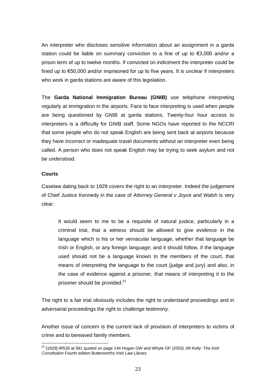An interpreter who discloses sensitive information about an assignment in a garda An interpreter who discloses sensitive information about an assignment in a garda<br>station could be liable on summary conviction to a fine of up to €3,000 and/or a prison term of up to twelve months. If convicted on indictment the interpreter could be fined up to  $\epsilon$ 50,000 and/or imprisoned for up to five years. It is unclear if interpreters<br>fined up to  $\epsilon$ 50,000 and/or imprisoned for up to five years. It is unclear if interpreters who work in garda stations are aware of this legislation.

The **Garda National Immigration Bureau (GNIB)** use telephone interpreting regularly at immigration in the airports. Face to face interpreting is used when people are being questioned by GNIB at garda stations. Twenty-four hour access to interpreters is a difficulty for GNIB staff. Some NGOs have reported to the NCCRI that some people who do not speak English are being sent back at airports because they have incorrect or inadequate travel documents without an interpreter even being called. A person who does not speak English may be trying to seek asylum and not be understood.

#### **Courts**

Caselaw dating back to 1929 covers the right to an interpreter. Indeed the judgement of Chief Justice Kennedy in the case of Attorney General v Joyce and Walsh is very clear:

It would seem to me to be a requisite of natural justice, particularly in a criminal trial, that a witness should be allowed to give evidence in the language which is his or her vernacular language, whether that language be Irish or English, or any foreign language; and it should follow, if the language used should not be a language known to the members of the court, that means of interpreting the language to the court (judge and jury) and also, in the case of evidence against a prisoner, that means of interpreting it to the prisoner should be provided.<sup>21</sup>

The right to a fair trial obviously includes the right to understand proceedings and in adversarial proceedings the right to challenge testimony.

Another issue of concern is the current lack of provision of interpreters to victims of crime and to bereaved family members.

 $^{21}$  [1929] IR526 at 581 quoted on page 144 Hogan GW and Whyte GF (2003) JM Kelly: The Irish Constitution Fourth edition Butterworths Irish Law Library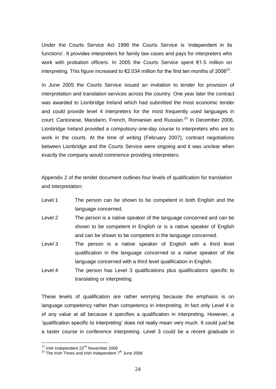Under the Courts Service Act <sup>1998</sup> the Courts Service is ëindependent in its Under the Courts Service Act 1998 the Courts Service is 'independent in its<br>functions'. It provides interpreters for family law cases and pays for interpreters who which are send service that the sends service is analysing in the<br>functions'. It provides interpreters for family law cases and pays for interpreters who<br>work with probation officers. In 2005 the Courts Service spent €1.5 work with probation officers. In 2005 the Courts Service spent  $\epsilon$ 1.5 million on<br>interpreting. This figure increased to  $\epsilon$ 2.034 million for the first ten months of 2006<sup>22</sup>. 22 .

In June 2005 the Courts Service issued an invitation to tender for provision of interpretation and translation services across the country. One year later the contract was awarded to Lionbridge Ireland which had submitted the most economic tender and could provide level 4 interpreters for the most frequently used languages in court; Cantonese, Mandarin, French, Romanian and Russian.<sup>23</sup> In December 2006, Lionbridge Ireland provided a compulsory one-day course to interpreters who are to work in the courts. At the time of writing (February 2007), contract negotiations between Lionbridge and the Courts Service were ongoing and it was unclear when exactly the company would commence providing interpreters.

Appendix 2 of the tender document outlines four levels of qualification for translation and interpretation:

- Level 1 The person can be shown to be competent in both English and the language concerned.
- Level 2 The person is a native speaker of the language concerned and can be shown to be competent in English or is a native speaker of English and can be shown to be competent in the language concerned.
- Level 3 The person is a native speaker of English with a third level qualification in the language concerned or a native speaker of the language concerned with a third level qualification in English.
- Level 4 The person has Level 3 qualifications plus qualifications specific to translating or interpreting.

These levels of qualification are rather worrying because the emphasis is on language competency rather than competency in interpreting. In fact only Level 4 is of any value at all because it specifies a qualification in interpreting. However, a iatigaage ee specific to interpreting does not really mean very much. It could just be specific to interpreting does not really mean very much. It could just be a taster course in conference interpreting. Level 3 could be a recent graduate in

 $^{22}$  Irish Independent 22 $^{\text{nd}}$  November 2006

 $^{23}$  The Irish Times and Irish Independent  $7<sup>th</sup>$  June 2006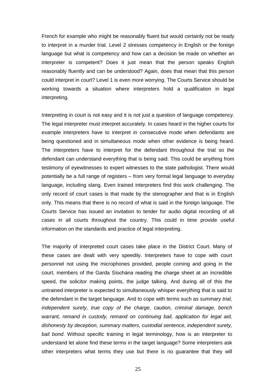French for example who might be reasonably fluent but would certainly not be ready to interpret in a murder trial. Level 2 stresses competency in English or the foreign language but what is competency and how can a decision be made on whether an interpreter is competent? Does it just mean that the person speaks English reasonably fluently and can be understood? Again, does that mean that this person could interpret in court? Level 1 is even more worrying. The Courts Service should be working towards a situation where interpreters hold a qualification in legal interpreting.

Interpreting in court is not easy and it is not just a question of language competency. The legal interpreter must interpret accurately. In cases heard in the higher courts for example interpreters have to interpret in consecutive mode when defendants are being questioned and in simultaneous mode when other evidence is being heard. The interpreters have to interpret for the defendant throughout the trial so the defendant can understand everything that is being said. This could be anything from testimony of eyewitnesses to expert witnesses to the state pathologist. There would potentially be a full range of registers – from very formal legal language to everyday<br>potentially be a full range of registers – from very formal legal language to everyday language, including slang. Even trained interpreters find this work challenging. The only record of court cases is that made by the stenographer and that is in English only. This means that there is no record of what is said in the foreign language. The Courts Service has issued an invitation to tender for audio digital recording of all cases in all courts throughout the country. This could in time provide useful information on the standards and practice of legal interpreting.

The majority of interpreted court cases take place in the District Court. Many of these cases are dealt with very speedily. Interpreters have to cope with court personnel not using the microphones provided, people coming and going in the court, members of the Garda Siochana reading the charge sheet at an incredible<br>court, members of the Garda Siochana reading the charge sheet at an incredible speed, the solicitor making points, the judge talking. And during all of this the untrained interpreter is expected to simultaneously whisper everything that is said to the defendant in the target language. And to cope with terms such as *summary trial*, independent surety, true copy of the charge, caution, criminal damage, bench warrant, remand in custody, remand on continuing bail, application for legal aid, dishonesty by deception, summary matters, custodial sentence, independent surety, bail bond. Without specific training in legal terminology, how is an interpreter to understand let alone find these terms in the target language? Some interpreters ask other interpreters what terms they use but there is no guarantee that they will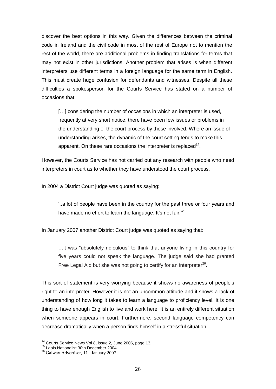discover the best options in this way. Given the differences between the criminal code in Ireland and the civil code in most of the restof Europe not to mention the rest of the world, there are additional problems in finding translations for terms that may not exist in other jurisdictions. Another problem that arises is when different interpreters use different terms in a foreign language for the same term in English. This must create huge confusion for defendants and witnesses. Despite all these difficulties a spokesperson for the Courts Service has stated on a number of occasions that:

[...] considering the number of occasions in which an interpreter is used, frequently at very short notice, there have been few issues or problems in the understanding of the court process by those involved. Where an issue of understanding arises, the dynamic of the court setting tends to make this apparent. On these rare occasions the interpreter is replaced $^{24}$ .

However, the Courts Service has not carried out any research with people who need interpreters in court as to whether they have understood the court process.

In 2004 a District Court judge was quoted as saying: ë..a

> "..a lot of people have been in the country for the past three or four years and have made no effort to learn the language. It's not fair.<sup> $25$ </sup>

In January 2007 another District Court judge was quoted as saying that:

... it was "absolutely ridiculous" to think that anyone living in this country for five years could not speak the language. The judge said she had granted Free Legal Aid but she was not going to certify for an interpreter<sup>26</sup>.

This sort of statement is very worrying because it shows no awareness of people's right to an interpreter. However it is not an uncommon attitude and it shows a lack of understanding of how long it takes to learn a language to proficiency level. It is one thing to have enough English to live and work here. It is an entirely different situation when someone appears in court. Furthermore, second language competency can decrease dramatically when a person finds himself in a stressful situation.

<sup>&</sup>lt;sup>24</sup> Courts Service News Vol 8, issue 2, June 2006, page 13.<br><sup>25</sup> Laois Nationalist 30th December 2004

<sup>&</sup>lt;sup>26</sup> Galway Advertiser, 11<sup>th</sup> January 2007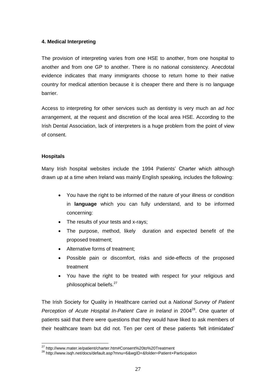#### **4. Medical Interpreting**

The provision of interpreting varies from one HSE to another, from one hospital to another and from oneGP to another. There is no national consistency. Anecdotal evidence indicates that many immigrants choose to return home to their native country for medical attention because it is cheaper there and there is no language barrier.

Access to interpreting for other services such as dentistry is very much an ad hoc arrangement, at the request and discretion of the local area HSE. According to the Irish Dental Association, lack of interpreters is a huge problem from the point of view of consent.

#### **Hospitals**

Many Irish hospital websites include the <sup>1994</sup> Patients<sup>í</sup> Charter which although drawn up at a time when Ireland was mainly English speaking, includes the following:

- You have the right to be informed of the nature of your illness or condition in **language** which you can fully understand, and to be informed concerning:
- The results of your tests and x-rays;
- The purpose, method, likely duration and expected benefit of the  $\bullet$ proposed treatment;
- Alternative forms of treatment:
- Possible pain or discomfort, risks and side-effects of the proposed treatment
- You have the right to be treated with respect for your religious and philosophical beliefs.<sup>27</sup>

The Irish Society for Quality in Healthcare carried out a National Survey of Patient Perception of Acute Hospital In-Patient Care in Ireland in 2004<sup>28</sup>. One quarter of patients said that there were questions that they would have liked to ask members of their state their healthcare team but did not. Ten per cent of these patients 'felt intimidated'<br>their healthcare team but did not. Ten per cent of these patients 'felt intimidated'

<sup>&</sup>lt;sup>27</sup> <http://www.mater.ie/patient/charter.htm#Consent%20to%20Treatment><br><sup>28</sup> <http://www.isqh.net/docs/default.asp?mnu=6&wgID=&folder=Patient+Participation>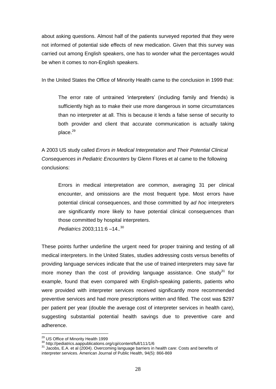about asking questions. Almost half of the patients surveyed reported that they were not informed of potential side effects of new medication. Given that this survey was carried out among English speakers, one has to wonder what the percentages would be when it comes to non-English speakers.

In the United States the Office of Minority Health came to the conclusion in 1999 that:

The error rate of untrained 'interpreters' (including family and friends) is sufficiently high as to make their use more dangerous in some circumstances than no interpreter at all. This is because it lends a false sense of security to both provider and client that accurate communication is actually taking place.<sup>29</sup>

A 2003 US study called Errors in Medical Interpretation and Their Potential Clinical Consequences in Pediatric Encounters by Glenn Flores et al came to the following conclusions:

Errors in medical interpretation are common, averaging 31 per clinical encounter, and omissions are the most frequent type. Most errors have potential clinical consequences, and those committed by ad hoc interpreters are significantly more likely to have potential clinical consequences than those committed by hospital interpreters. those committed by hospital interprediatrics 2003;111:6 -14..<sup>30</sup>

These points further underline the urgent need for proper training and testing of all medical interpreters. In the United States, studies addressing costs versus benefits of providing language services indicate that the use of trained interpreters may save far more money than the cost of providing language assistance. One study<sup>31</sup> for example, found that even compared with English-speaking patients, patients who were provided with interpreter services received significantly more recommended preventive services and had more prescriptions written and filled. The cost was \$297 per patient per year (double the average cost of interpreter services in health care), suggesting substantial potential health savings due to preventive care and adherence.

<sup>29</sup> US Office of Minority Health 1999

<sup>30</sup> <http://pediatrics.aappublications.org/cgi/content/full/111/1/6>

<sup>31</sup> Jacobs, E.A. et al (2004). Overcoming language barriers in health care: Costs and benefits of interpreter services. American Journal of Public Health, 94(5): 866-869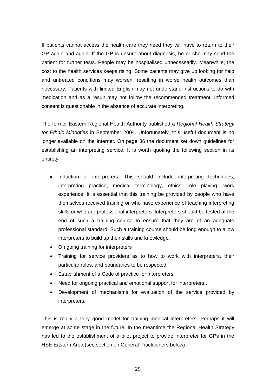If patients cannot access the health care they need they will have to return to their GP again and again. If the GP is unsure about diagnosis, he or she may send the patient for further tests. People may be hospitalised unnecessarily. Meanwhile, the cost to the health services keeps rising. Some patients may give up looking for help and untreated conditions may worsen, resulting in worse health outcomes than necessary. Patients with limited English may not understand instructions to do with medication and as a result may not follow the recommended treatment. Informed consent is questionable in the absence of accurate interpreting.

The former Eastern Regional Health Authority published a Regional Health Strategy for Ethnic Minorities in September 2004. Unfortunately, this useful document is no longer available on the Internet. On page 36 the document set down guidelines for establishing an interpreting service. It is worth quoting the following section in its entirety:

- Induction of interpreters: This should include interpreting techniques, interpreting practice, medical terminology, ethics, role playing, work experience. It is essential that this training be provided by people who have themselves received training or who have experience of teaching interpreting skills or who are professional interpreters. Interpreters should be tested at the end of such a training course to ensure that they are of an adequate professional standard. Such a training course should be long enough to allow interpreters to build up their skills and knowledge.
- On going training for interpreters  $\bullet$
- $\bullet$  Training for service providers as to how to work with interpreters, their particular roles, and boundaries to be respected.
- Establishment of <sup>a</sup> Code of practice for interpreters.
- Need for ongoing practical and emotional support for interpreters..
- Development of mechanisms for evaluation of the service provided by interpreters.

This is really a very good model for training medical interpreters. Perhaps it will emerge at some stage in the future. In the meantime the Regional Health Strategy has led to the establishment of a pilot project to provide interpreter for GPs in the HSE Eastern Area (see section on General Practitioners below).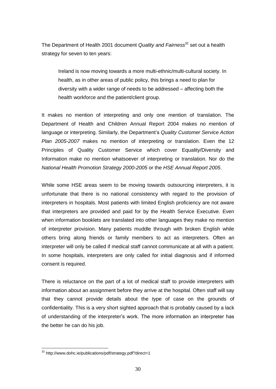The Department of Health 2001 document Quality and Fairness<sup>32</sup> set out a health strategy for seven to ten years:

Ireland is now moving towards a more multi-ethnic/multi-cultural society. In health, as in other areas of public policy, this brings a need to plan for diversity with a wider range of needs to be addressed – affecting both the health workforce and the patient/client group.

It makes no mention of interpreting and only one mention of translation. The Department of Health and Children Annual Report 2004 makes no mention of language or interpreting. Similarly, the Department's Quality Customer Service Action Plan 2005-2007 makes no mention of interpreting or translation. Even the 12 Principles of Quality Customer Service which cover Equality/Diversity and Information make no mention whatsoever of interpreting or translation. Nor do the National Health Promotion Strategy 2000-2005 or the HSE Annual Report 2005.

While some HSE areas seem to be moving towards outsourcing interpreters, it is unfortunate that there is no national consistency with regard to the provision of interpreters in hospitals. Most patients with limited English proficiency are not aware that interpreters are provided and paid for by the Health Service Executive. Even when information booklets are translated into other languages they make no mention of interpreter provision. Many patients muddle through with broken English while others bring along friends or family members to act as interpreters. Often an interpreter will only be called if medical staff cannot communicate at all with a patient. In some hospitals, interpreters are only called for initial diagnosis and if informed consent is required.

There is reluctance on the part of a lot of medical staff to provide interpreters with information about an assignment before they arrive at the hospital. Often staff will say that they cannot provide details about the type of case on the grounds of confidentiality. This is a very short sighted approach that is probably caused by a lack of understanding of the interpreterís work. The more information an interpreter has the better he can do his job.

<sup>32</sup> <http://www.dohc.ie/publications/pdf/strategy.pdf?direct=1>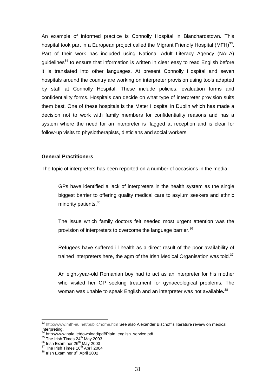An example of informed practice is Connolly Hospital in Blanchardstown. This hospital took part in a European project called the Migrant Friendly Hospital (MFH) $^{33}$ . Part of their work has included using National Adult Literacy Agency (NALA) guidelines<sup>34</sup> to ensure that information is written in clear easy to read English before it is translated into other languages. At present Connolly Hospital and seven hospitals around the country are working on interpreter provision using tools adapted by staff at Connolly Hospital. These include policies, evaluation forms and confidentiality forms. Hospitals can decide on what type of interpreter provision suits them best. One of these hospitals is the Mater Hospital in Dublin which has made a decision not to work with family members for confidentiality reasons and has a system where the need for an interpreter is flagged at reception and is clear for follow-up visits to physiotherapists, dieticians and social workers

#### **General Practitioners**

The topic of interpreters has been reported on a number of occasions in the media:

GPs have identified a lack of interpreters in the health system as the single biggest barrier to offering quality medical care to asylum seekers and ethnic minority patients.<sup>35</sup>

The issue which family doctors felt needed most urgent attention was the provision of interpreters to overcome the language barrier.<sup>36</sup>

Refugees have suffered ill health as a direct result of the poor availability of trained interpreters here, the agm of the Irish Medical Organisation was told. $37$ 

An eight-year-old Romanian boy had to act as an interpreter for his mother who visited her GP seeking treatment for gynaecological problems. The woman was unable to speak English and an interpreter was not available.<sup>38</sup>

33 <http://www.mfh-eu.net/public/home.htm> See also Alexander Bischoff's literature review on medical interpreting.<br><sup>34</sup> http://www.nala.ie/download/pdf/Plain\_english\_service.pdf

<sup>&</sup>lt;sup>35</sup> The Irish Times 24<sup>th</sup> May 2003<br><sup>36</sup> Irish Examiner 26<sup>th</sup> May 2003

<sup>&</sup>lt;sup>37</sup> The Irish Times 16<sup>th</sup> April 2004<br><sup>38</sup> Irish Examiner 8<sup>th</sup> April 2002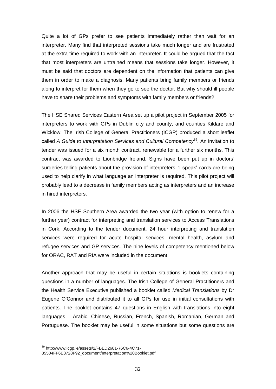Quite a lot of GPs prefer to see patients immediately rather than wait for an interpreter. Many find that interpreted sessions take much longer and are frustrated at the extra time required to work with an interpreter. It could be argued that the fact that most interpreters are untrained means that sessions take longer. However, it must be said that doctors are dependent on the information that patients can give them in order to make a diagnosis. Many patients bring family members or friends along to interpret for them when they go to see the doctor. But why should ill people have to share their problems and symptoms with family members or friends?

The HSE Shared Services Eastern Area set up a pilot project in September 2005 for interpreters to work with GPs in Dublin city and county, and counties Kildare and Wicklow. The Irish College of General Practitioners (ICGP) produced a short leaflet called A Guide to Interpretation Services and Cultural Competency<sup>39</sup>. An invitation to tender was issued for a six month contract, renewable for a further six months. This cance in Sance to morphoed on Scribbe and Sanche Composenty. The annual relation to<br>tender was issued for a six month contract, renewable for a further six months. This<br>contract was awarded to Lionbridge Ireland. Signs hav surgeries telling patients about the provision of interpreters. The peak cards are being<br>surgeries telling patients about the provision of interpreters. The speak cards are being used to help clarify in what language an interpreter is required. This pilot project will probably lead to a decrease in family members acting as interpreters and an increase in hired interpreters.

In 2006 the HSE Southern Area awarded the two year (with option to renew for a further year) contract for interpreting and translation services to Access Translations in Cork. According to the tender document, 24 hour interpreting and translation services were required for acute hospital services, mental health, asylum and refugee services and GP services. The nine levels of competency mentioned below for ORAC, RAT and RIA were included in the document.

Another approach that may be useful in certain situations is booklets containing questions in a number of languages. The Irish College of General Practitioners and the Health Service Executive published a booklet called Medical Translations by Dr Eugene <sup>O</sup>íConnor and distributed it to all GPs for use in initial consultations with patients. The booklet contains 47 questions in English with translations into eight languages – Arabic, Chinese, Russian, French, Spanish, Romanian, German and Portuguese. The booklet may be useful in some situations but some questions are

<sup>39</sup> <http://www.icgp.ie/assets/2/FBED2681-76C6-4C71->

<sup>85504</sup>FF6E8728F92\_document/Interpretation%20Booklet.pdf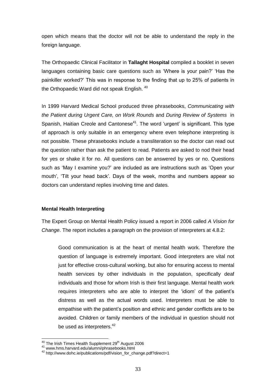open which means that the doctor will not be able to understand the reply in the foreign language.

The Orthopaedic Clinical Facilitator in **Tallaght Hospital** compiled a booklet in seven The Orthopaedic Clinical Facilitator in **Tallaght Hospital** compiled a booklet in seven<br>languages containing basic care questions such as 'Where is your pain?' 'Has the languages containing basic care questions such as 'Where is your pain?' 'Has the painkiller worked?' This was in response to the finding that up to 25% of patients in the Orthopaedic Ward did not speak English.<sup>40</sup>

In 1999 Harvard Medical School produced three phrasebooks, Communicating with the Patient during Urgent Care, on Work Rounds and During Review of Systems in the Patient during Urgent Care, on Work Rounds and During Review of Systems in<br>Spanish, Haitian Creole and Cantonese<sup>41</sup>. The word 'urgent' is significant. This type of approach is only suitable in an emergency where even telephone interpreting is not possible. These phrasebooks include a transliteration so the doctor can read out the question rather than ask the patient to read. Patients are asked to nod their head for yes or shake it for no. All questions can be answered by yes or no. Questions such as the assemblance as the position of the matter as the model of the model of the matter of the start for<br>such as 'May I examine you?' are included as are instructions such as 'Open your such as 'May I examine you?' are included as are instructions such as 'Open your<br>mouth', 'Tilt your head back'. Days of the week, months and numbers appear so doctors can understand replies involving time and dates.

#### **Mental Health Interpreting**

The Expert Group on Mental Health Policy issued a report in 2006 called A Vision for Change. The report includes a paragraph on the provision of interpreters at 4.8.2:

Good communication is at the heart of mental health work. Therefore the question of language is extremely important. Good interpreters are vital not just for effective cross-cultural working, but also for ensuring access to mental health services by other individuals in the population, specifically deaf individuals and those for whom Irish is their first language. Mental health work requires interpreters who are able to interpret the 'idiom' of the patient's<br>requires interpreters who are able to interpret the 'idiom' of the patient's distress as well as the actual words used. Interpreters must be able to requires interpreters who are able to interpret the 'idiom' of the patient's distress as well as the actual words used. Interpreters must be able to empathise with the patient's position and ethnic and gender conflicts are avoided. Children or family members of the individual in question should not be used as interpreters.<sup>42</sup>

 $^{40}$  The Irish Times Health Supplement 29 $^{\rm th}$  August 2006

<sup>41</sup> [www.hms.harvard.edu/alumni/phrasebooks.html](http://www.hms.harvard.edu/alumni/phrasebooks.html)<br><sup>42</sup> [http://www.dohc.ie/publications/pdf/vision\\_for\\_change.pdf?direct=1](http://www.dohc.ie/publications/pdf/vision_for_change.pdf?direct=1)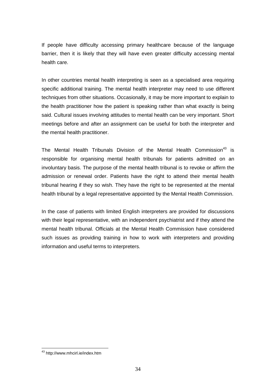If people have difficulty accessing primary healthcare because of the language barrier, then it is likely that they will have even greater difficulty accessing mental health care.

In other countries mental health interpreting is seen as a specialised area requiring specific additional training. The mental health interpreter may need to use different techniques from other situations. Occasionally, it may be more important to explain to the health practitioner how the patient is speaking rather than what exactly is being said. Cultural issues involving attitudes to mental health can be very important. Short meetings before and after an assignment can be useful for both the interpreter and the mental health practitioner.

The Mental Health Tribunals Division of the Mental Health Commission<sup>43</sup> is responsible for organising mental health tribunals for patients admitted on an involuntary basis. The purpose of the mental health tribunal is to revoke or affirm the admission or renewal order. Patients have the right to attend their mental health tribunal hearing if they so wish. They have the right to be represented at the mental health tribunal by a legal representative appointed by the Mental Health Commission.

In the case of patients with limited English interpreters are provided for discussions with their legal representative, with an independent psychiatrist and if they attend the mental health tribunal. Officials at the Mental Health Commission have considered such issues as providing training in how to work with interpreters and providing information and useful terms to interpreters.

<sup>43</sup> <http://www.mhcirl.ie/index.htm>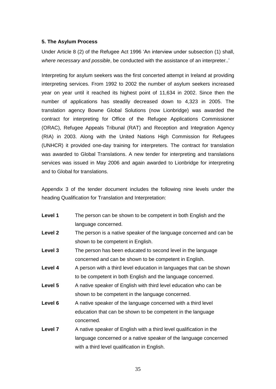#### **5. The Asylum Process**

**5. The Asylum Process**<br>Under Article 8 (2) of the Refugee Act 1996 'An interview under subsection (1) shall, Under Article 8 (2) of the Refugee Act 1996 'An interview under subsection (1) shall,<br>where necessary and possible, be conducted with the assistance of an interpreter..'

Interpreting for asylum seekers was the first concerted attempt in Ireland at providing interpreting services. From 1992 to 2002 the number of asylum seekers increased year on year until it reached its highest point of 11,634 in 2002. Since then the number of applications has steadily decreased down to 4,323 in 2005. The translation agency Bowne Global Solutions (now Lionbridge) was awarded the contract for interpreting for Office of the Refugee Applications Commissioner (ORAC), Refugee Appeals Tribunal (RAT) and Reception and Integration Agency (RIA) in 2003. Along with the United Nations High Commission for Refugees (UNHCR) it provided one-day training for interpreters. The contract for translation was awarded to Global Translations. A new tender for interpreting and translations services was issued in May 2006 and again awarded to Lionbridge for interpreting and to Global for translations.

Appendix 3 of the tender document includes the following nine levels under the heading Qualification for Translation and Interpretation:

| Level 1 | The person can be shown to be competent in both English and the      |
|---------|----------------------------------------------------------------------|
|         | language concerned.                                                  |
| Level 2 | The person is a native speaker of the language concerned and can be  |
|         | shown to be competent in English.                                    |
| Level 3 | The person has been educated to second level in the language         |
|         | concerned and can be shown to be competent in English.               |
| Level 4 | A person with a third level education in languages that can be shown |
|         | to be competent in both English and the language concerned.          |
| Level 5 | A native speaker of English with third level education who can be    |
|         | shown to be competent in the language concerned.                     |
| Level 6 | A native speaker of the language concerned with a third level        |
|         | education that can be shown to be competent in the language          |
|         | concerned.                                                           |
| Level 7 | A native speaker of English with a third level qualification in the  |
|         | language concerned or a native speaker of the language concerned     |
|         | with a third level qualification in English.                         |
|         |                                                                      |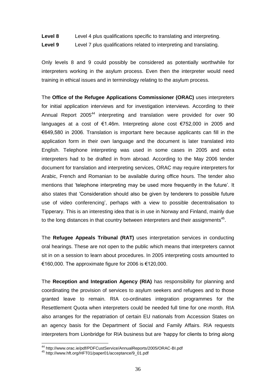#### **Level 8** Level 4 plus qualifications specific to translating and interpreting.

**Level 9** Level 7 plus qualifications related to interpreting and translating.

Only levels 8 and 9 could possibly be considered as potentially worthwhile for interpreters working in the asylum process. Even then the interpreter would need training in ethical issues and in terminology relating to the asylum process.

The **Office of the Refugee Applications Commissioner (ORAC)** uses interpreters for initial application interviews and for investigation interviews. According to their Annual Report 2005<sup>44</sup> interpreting and translation were provided for over 90 Annual Report  $2005^{44}$  interpreting and translation were provided for over 90<br>languages at a cost of  $\epsilon$ 1.46m. Interpreting alone cost  $\epsilon$ 752,000 in 2005 and A mean interpert 2000 innerproming and manufature nervolperated for 0.000 is control dianguages at a cost of  $\epsilon$ 1.46m. Interpreting alone cost  $\epsilon$ 752,000 in 2005 and  $\epsilon$ 649,580 in 2006. Translation is important here be application form in their own language and the document is later translated into English. Telephone interpreting was used in some cases in 2005 and extra interpreters had to be drafted in from abroad. According to the May 2006 tender document for translation and interpreting services, ORAC may require interpreters for Arabic, French and Romanian to be available during office hours. The tender also mentions that 'telephone interpreting may be used more frequently in the future'. It also states that "telephone interpreting may be used more frequently in the future". It<br>also states that "Consideration should also be given by tenderers to possible future use of video conferencing<sup>7</sup>, perhaps with a view to possible decentralisation to<br>use of video conferencing<sup>7</sup>, perhaps with a view to possible decentralisation to Tipperary. This is an interesting idea that is in use in Norway and Finland, mainly due to the long distances in that country between interpreters and their assignments<sup>45</sup>.

The **Refugee Appeals Tribunal (RAT)** uses interpretation services in conducting oral hearings. These are not open to the public which means that interpreters cannot sit in on a session to learn about procedures. In 2005 interpreting costs amounted to Ä160,000.Services are not op once any passe minor incenses<br>session to learn about procedures. In 2005 interp<br>The approximate figure for 2006 is €120,000.

The **Reception and Integration Agency (RIA)** has responsibility for planning and coordinating the provision of services to asylum seekers and refugees and to those granted leave to remain. RIA co-ordinates integration programmes for the Resettlement Quota when interpreters could be needed full time for one month. RIA also arranges for the repatriation of certain EU nationals from Accession States on an agency basis for the Department of Social and Family Affairs. RIA requests and agency basis for the Department of Social and Family Affairs. RIA requests<br>interpreters from Lionbridge for RIA business but are 'happy for clients to bring along

<sup>44</sup> http://www.orac.ie/pdf/PDFCustService/AnnualReports/2005/ORAC-BI.pdf <sup>45</sup> http://www.hft.org/HFT01/paper01/acceptance/9\_01.pdf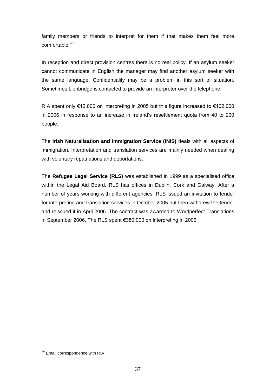family members or friends to interpret for them if that makes them feel more family members or<br>comfortable.<sup>,46</sup>

In reception and direct provision centres there is no real policy. If an asylum seeker cannot communicate in English the manager may find another asylum seeker with the same language. Confidentiality may be a problem in this sort of situation. Sometimes Lionbridge is contacted to provide an interpreter over the telephone.

RIA spent only Ä12,000 on interpreting in <sup>2005</sup> but this figure increased to Ä102,000 RIA spent only €12,000 on interpreting in 2005 but this figure increased to €102,000<br>in 2006 in response to an increase in Ireland's resettlement quota from 40 to 200 people.

The **Irish Naturalisation and Immigration Service (INIS)** deals with all aspects of immigration. Interpretation and translation services are mainly needed when dealing with voluntary repatriations and deportations.

The **Refugee Legal Service (RLS)** was established in 1999 as a specialised office within the Legal Aid Board. RLS has offices in Dublin, Cork and Galway. After a number of years working with different agencies, RLS issued an invitation to tender for interpreting and translation services in October 2005 but then withdrew the tender and reissued it in April 2006. The contract was awarded to Wordperfect Translations in September 2006. The RLS spent €380,000 on interpreting in 2006.

<sup>46</sup> Email correspondence with RIA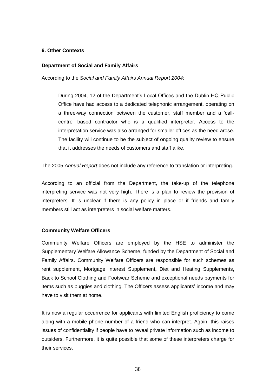#### **6. Other Contexts**

#### **Department of Social and Family Affairs**

According to the Social and Family Affairs Annual Report 2004:

During 2004, <sup>12</sup> of the Departmentís Local Offices and the Dublin HQ Public Office have had access to a dedicated telephonic arrangement, operating on a three-way connection between the customer, staff member and a 'call-<br>a three-way connection between the customer, staff member and a 'calla three-way connection between the customer, staff member and a 'call-<br>centre' based contractor who is a qualified interpreter. Access to the interpretation service was also arranged for smaller offices as the need arose. The facility will continue to be the subject of ongoing quality review to ensure that it addresses the needs of customers and staff alike.

The 2005 Annual Report does not include any reference to translation or interpreting.

According to an official from the Department, the take-up of the telephone interpreting service was not very high. There is a plan to review the provision of interpreters. It is unclear if there is any policy in place or if friends and family members still act as interpreters in social welfare matters.

#### **Community Welfare Officers**

Community Welfare Officers are employed by the HSE to administer the Supplementary Welfare Allowance Scheme, funded by the Department of Social and Family Affairs. Community Welfare Officers are responsible forsuch schemes as rent supplement**,** Mortgage Interest Supplement**,** Diet and Heating Supplements**,** Back to School Clothing and Footwear Scheme and exceptional needs payments for items such as buggies and clothing. The Officers assess applicants' income and may have to visit them at home.

It is now a regular occurrence for applicants with limited English proficiency to come along with a mobile phone number of a friend who can interpret. Again, this raises issues of confidentiality if people have to reveal private information such as income to outsiders. Furthermore, it is quite possible that some of these interpreters charge for their services.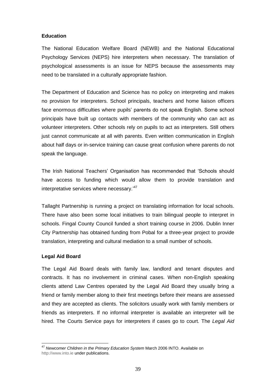#### **Education**

The National Education Welfare Board (NEWB) and the National Educational Psychology Services (NEPS) hire interpreters when necessary. The translation of psychological assessments is an issue for NEPS because the assessments may need to be translated in a culturally appropriate fashion.

The Department of Education and Science has no policy on interpreting and makes no provision for interpreters. School principals, teachers and home liaison officers face enormous difficulties where pupils<sup>í</sup> parents do not speak English. Some school principals have built up contacts with members of the community who can act as volunteer interpreters. Other schools rely on pupils to act as interpreters. Still others just cannot communicate at all with parents. Even written communication in English about half days or in-service training can cause great confusion where parents do not speak the language.

The Irish National Teachers' Organisation has recommended that 'Schools should have access to funding which would allow them to provide translation and interpretative services where we would allow<br>interpretative services where necessary.<sup>47</sup>

Tallaght Partnership is running a project on translating information for local schools. There have also been some local initiatives to train bilingual people to interpret in schools. Fingal County Council funded a short training course in 2006. Dublin Inner City Partnership has obtained funding from Pobal for a three-year project to provide translation, interpreting and cultural mediation to a small number of schools.

#### **Legal Aid Board**

The Legal Aid Board deals with family law, landlord and tenant disputes and contracts. It has no involvement in criminal cases. When non-English speaking clients attend Law Centres operated by the Legal Aid Board they usually bring a friend or family member along to their first meetings before their means are assessed and they are accepted as clients. The solicitors usually work with family members or friends as interpreters. If no informal interpreter is available an interpreter will be hired. The Courts Service pays for interpreters if cases go to court. The Legal Aid

 $47$  Newcomer Children in the Primary Education System March 2006 INTO. Available on <http://www.into.ie> under publications.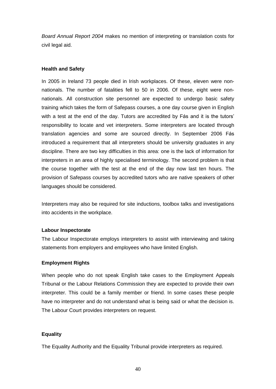Board Annual Report 2004 makes no mention of interpreting or translation costs for civil legal aid.

#### **Health and Safety**

In 2005 in Ireland 73 people died in Irish workplaces. Of these, eleven were non nationals. The number of fatalities fell to 50 in 2006. Of these, eight were non nationals. All construction site personnel are expected to undergo basic safety training which takes the form of Safepass courses, a one day course given in English watehead. The center state the percention are expected to allege state care,<br>training which takes the form of Safepass courses, a one day course given in English<br>with a test at the end of the day. Tutors are accredited by responsibility to locate and vet interpreters. Some interpreters are located through with a test at the end of the day. Tutors are accredited by Fás and it is the tutors'<br>responsibility to locate and vet interpreters. Some interpreters are located through<br>translation agencies and some are sourced directly. introduced a requirement that all interpreters should be university graduates in any discipline. There are two key difficulties in this area: one is the lack of information for interpreters in an area of highly specialised terminology. The second problem is that the course together with the test at the end of the day now last ten hours. The provision of Safepass courses by accredited tutors who are native speakers of other languages should be considered.

Interpreters may also be required for site inductions, toolbox talks and investigations into accidents in the workplace.

#### **Labour Inspectorate**

The Labour Inspectorate employs interpreters to assist with interviewing and taking statements from employers and employees who have limited English.

#### **Employment Rights**

When people who do not speak English take cases to the Employment Appeals Tribunal or the Labour Relations Commission they are expected to provide their own interpreter. This could be a family member or friend. In some cases these people have no interpreter and do not understand what is being said or what the decision is. The Labour Court provides interpreters on request.

#### **Equality**

The Equality Authority and the Equality Tribunal provide interpreters as required.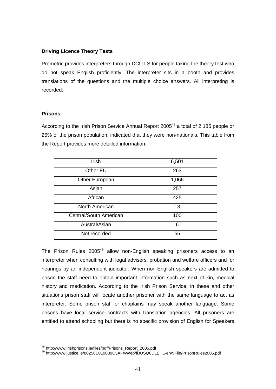#### **Driving Licence Theory Tests**

Prometric provides interpreters through DCU.LS for people taking the theory test who do not speak English proficiently. The interpreter sits in a booth and provides translations of the questions and the multiple choice answers. All interpreting is recorded.

#### **Prisons**

According to the Irish Prison Service Annual Report 2005<sup>48</sup> a total of 2,185 people or 25% of the prison population, indicated that they were non-nationals. This table from the Report provides more detailed information:

| Irish                  | 6,501 |
|------------------------|-------|
| Other EU               | 263   |
| Other European         | 1,066 |
| Asian                  | 257   |
| African                | 425   |
| North American         | 13    |
| Central/South American | 100   |
| Austral/Asian          | 6     |
| Not recorded           | 55    |

The Prison Rules 2005<sup>49</sup> allow non-English speaking prisoners access to an interpreter when consulting with legal advisers, probation and welfare officers and for hearings by an independent judicator. When non-English speakers are admitted to prison the staff need to obtain important information such as next of kin, medical history and medication. According to the Irish Prison Service, in these and other situations prison staff will locate another prisoner with the same language to act as interpreter. Some prison staff or chaplains may speak another language. Some prisons have local service contracts with translation agencies. All prisoners are entitled to attend schooling but there is no specific provision of English for Speakers

<sup>48</sup> http://www.irishprisons.ie/files/pdf/Prisons\_Report\_2005.pdf <sup>49</sup> http://www.justice.ie/80256E010039C5AF/vWeb/flJUSQ6DLEHL-en/\$File/PrisonRules2005.pdf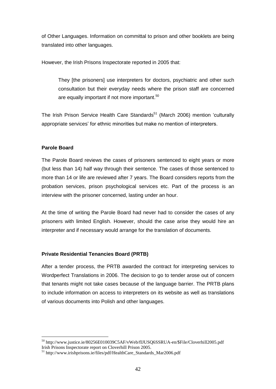of Other Languages. Information on committal to prison and other booklets are being translated into other languages.

However, the Irish Prisons Inspectorate reported in 2005 that:

They [the prisoners] use interpreters for doctors, psychiatric and other such consultation but their everyday needs where the prison staff are concerned are equally important if not more important.<sup>50</sup>

me equally imperium in recrite emperium.<br>The Irish Prison Service Health Care Standards<sup>51</sup> (March 2006) mention 'culturally The Irish Prison Service Health Care Standards<sup>51</sup> (March 2006) mention 'cultura<br>appropriate services' for ethnic minorities but make no mention of interpreters.

#### **Parole Board**

The Parole Board reviews the cases of prisoners sentenced to eight years ormore (but less than 14) half way through their sentence. The cases of those sentenced to more than 14 or life are reviewed after 7 years. The Board considers reports from the probation services, prison psychological services etc. Part of the process is an interview with the prisoner concerned, lasting under an hour.

At the time of writing the Parole Board had never had to consider the cases of any prisoners with limited English. However, should the case arise they would hire an interpreter and if necessary would arrange for the translation of documents.

#### **Private Residential Tenancies Board (PRTB)**

After a tender process, the PRTB awarded the contract for interpreting services to Wordperfect Translations in 2006. The decision to go to tender arose out of concern that tenants might not take cases because of the language barrier. The PRTB plans to include information on access to interpreters on its website as wellas translations of various documents into Polish and other languages.

 $50$  http://www.justice.ie/80256E010039C5AF/vWeb/flJUSQ6SSRUA-en/\$File/Cloverhill2005.pdf<br>Irish Prisons Inspectorate report on Cloverhill Prison 2005.

 $10^{51}$  http://www.irishprisons.ie/files/pdf/HealthCare\_Standards\_Mar2006.pdf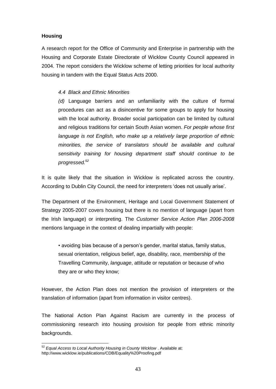#### **Housing**

A research report for the Office of Community and Enterprise in partnership with the Housing and Corporate Estate Directorate of Wicklow County Council appeared in 2004. The report considers the Wicklow scheme of letting priorities for local authority housing in tandem with the Equal Status Acts 2000.

#### 4.4 Black and Ethnic Minorities

(d) Language barriers and an unfamiliarity with the culture of formal procedures can act as a disincentive forsome groups to apply for housing with the local authority. Broader social participation can be limited by cultural and religious traditions for certain South Asian women. For people whose first language is not English, who make up a relatively large proportion of ethnic minorities, the service of translators should be available and cultural sensitivity training for housing department staff should continue to be progressed. $52$ 

It is quite likely that the situation in Wicklow is replicated across the country. According to Dublin City Council, the need for interpreters 'does not usually arise'.

The Department of the Environment, Heritage and Local Government Statement of Strategy 2005-2007 covers housing but there is no mention of language (apart from the Irish language) or interpreting. The Customer Service Action Plan 2006-2008 mentions language in the context of dealing impartially with people:

• avoiding bias because of a person's gender, marital status, family status, sexual orientation, religious belief, age, disability, race, membership of the Travelling Community, language, attitude or reputation or because of who they are or who they know;

However, the Action Plan does not mention the provision of interpreters or the translation of information (apart from information in visitor centres).

The National Action Plan Against Racism are currently in the process of commissioning research into housing provision for people from ethnic minority backgrounds.

 $52$  Equal Access to Local Authority Housing in County Wicklow . Available at: http://www.wicklow.ie/publications/CDB/Equality%20Proofing.pdf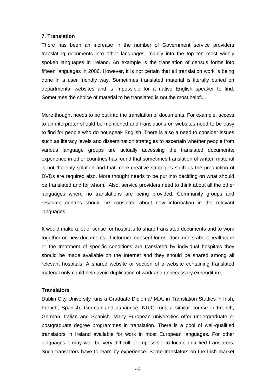#### **7. Translation**

There has been an increase in the number of Government service providers translating documents into other languages, mainly into the top ten most widely spoken languages in Ireland. An example is the translation of census forms into fifteen languages in 2006. However, it is not certain that all translation work is being done in a user friendly way. Sometimes translated material is literally buried on departmental websites and is impossible for a native English speaker to find. Sometimes the choice of material to be translated is not the most helpful.

More thought needs to be put into the translation of documents. For example, access to an interpreter should be mentioned and translations on websites need to be easy to find for people who do not speak English. There is also a need to consider issues such as literacy levels and dissemination strategies to ascertain whether people from various language groups are actually accessing the translated documents; experience in other countries has found that sometimes translation of written material is not the only solution and that more creative strategies such as the production of DVDs are required also. More thought needs to be put into deciding on what should be translated and for whom. Also, service providers need to think about all the other languages where no translations are being provided. Community groups and resource centres should be consulted about new information in the relevant languages.

It would make a lot of sense for hospitals to share translated documents and to work together on new documents. If informed consent forms, documents about healthcare or the treatment of specific conditions are translated by individual hospitals they should be made available on the Internet and they should be shared among all relevant hospitals. A shared website or section of a website containing translated material only could help avoid duplication of work and unnecessary expenditure.

#### **Translators**

Dublin City University runs a Graduate Diploma/ M.A. in Translation Studies in Irish, French, Spanish, German and Japanese. NUIG runs a similar course in French, German, Italian and Spanish. Many European universities offer undergraduate or postgraduate degree programmes in translation. There is a pool of well-qualified translators in Ireland available for work in most European languages. For other languages it may well be very difficult or impossible to locate qualified translators. Such translators have to learn by experience. Some translators on the Irish market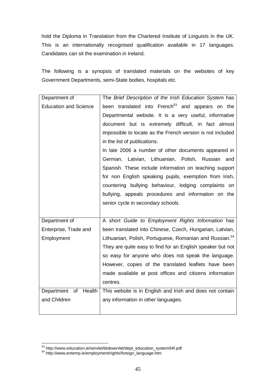hold the Diploma in Translation from the Chartered Institute of Linguists in the UK.<br>This is an internationally recognised qualification available in 17 languages. Candidates can sit the examination in Ireland.

The following is a synopsis of translated materials on the websites of key Government Departments, semi-State bodies, hospitals etc.

| Department of                | The Brief Description of the Irish Education System has             |
|------------------------------|---------------------------------------------------------------------|
| <b>Education and Science</b> | been translated into French <sup>53</sup> and appears on the        |
|                              | Departmental website. It is a very useful, informative              |
|                              | document but is extremely difficult, in fact almost                 |
|                              | impossible to locate as the French version is not included          |
|                              | in the list of publications.                                        |
|                              | In late 2006 a number of other documents appeared in                |
|                              | German, Latvian, Lithuanian, Polish, Russian<br>and                 |
|                              | Spanish. These include information on teaching support              |
|                              | for non English speaking pupils, exemption from Irish,              |
|                              | countering bullying behaviour, lodging complaints on                |
|                              | bullying, appeals procedures and information on the                 |
|                              | senior cycle in secondary schools.                                  |
|                              |                                                                     |
| Department of                | A short Guide to Employment Rights Information has                  |
| Enterprise, Trade and        | been translated into Chinese, Czech, Hungarian, Latvian,            |
| Employment                   | Lithuanian, Polish, Portuguese, Romanian and Russian. <sup>54</sup> |
|                              | They are quite easy to find for an English speaker but not          |
|                              | so easy for anyone who does not speak the language.                 |
|                              | However, copies of the translated leaflets have been                |
|                              | made available at post offices and citizens information             |
|                              | centres.                                                            |
| of<br>Health<br>Department   | This website is in English and Irish and does not contain           |
| and Children                 | any information in other languages.                                 |
|                              |                                                                     |
|                              |                                                                     |

 $^{53}$  http://www.education.ie/servlet/blobservlet/dept\_education\_system04f.pdf  $^{54}$  [http://www.entemp.ie/employment/rights/foreign\\_language.htm](http://www.entemp.ie/employment/rights/foreign_language.htm)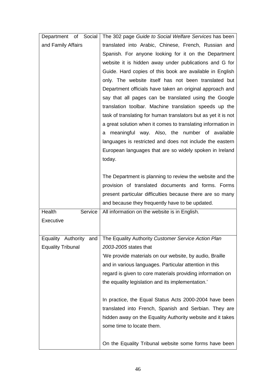| Department of Social      | The 302 page Guide to Social Welfare Services has been         |
|---------------------------|----------------------------------------------------------------|
| and Family Affairs        | translated into Arabic, Chinese, French, Russian and           |
|                           | Spanish. For anyone looking for it on the Department           |
|                           | website it is hidden away under publications and G for         |
|                           | Guide. Hard copies of this book are available in English       |
|                           | only. The website itself has not been translated but           |
|                           | Department officials have taken an original approach and       |
|                           | say that all pages can be translated using the Google          |
|                           | translation toolbar. Machine translation speeds up the         |
|                           | task of translating for human translators but as yet it is not |
|                           | a great solution when it comes to translating information in   |
|                           | meaningful way. Also, the number of available<br>а             |
|                           | languages is restricted and does not include the eastern       |
|                           | European languages that are so widely spoken in Ireland        |
|                           | today.                                                         |
|                           |                                                                |
|                           | The Department is planning to review the website and the       |
|                           | provision of translated documents and forms. Forms             |
|                           | present particular difficulties because there are so many      |
|                           | and because they frequently have to be updated.                |
| Health<br>Service         | All information on the website is in English.                  |
| Executive                 |                                                                |
|                           |                                                                |
| Equality<br>Authority and | The Equality Authority Customer Service Action Plan            |
| <b>Equality Tribunal</b>  | 2003-2005 states that                                          |
|                           | 'We provide materials on our website, by audio, Braille        |
|                           | and in various languages. Particular attention in this         |
|                           | regard is given to core materials providing information on     |
|                           | the equality legislation and its implementation.'              |
|                           |                                                                |
|                           | In practice, the Equal Status Acts 2000-2004 have been         |
|                           | translated into French, Spanish and Serbian. They are          |
|                           | hidden away on the Equality Authority website and it takes     |
|                           | some time to locate them.                                      |
|                           |                                                                |
|                           | On the Equality Tribunal website some forms have been          |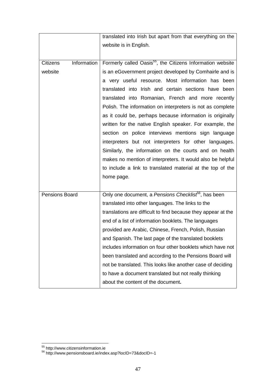|                                | translated into Irish but apart from that everything on the            |
|--------------------------------|------------------------------------------------------------------------|
|                                | website is in English.                                                 |
|                                |                                                                        |
| Information<br><b>Citizens</b> | Formerly called Oasis <sup>55</sup> , the Citizens Information website |
| website                        | is an eGovernment project developed by Comhairle and is                |
|                                | a very useful resource. Most information has been                      |
|                                | translated into Irish and certain sections have been                   |
|                                | translated into Romanian, French and more recently                     |
|                                | Polish. The information on interpreters is not as complete             |
|                                | as it could be, perhaps because information is originally              |
|                                | written for the native English speaker. For example, the               |
|                                | section on police interviews mentions sign language                    |
|                                | interpreters but not interpreters for other languages.                 |
|                                | Similarly, the information on the courts and on health                 |
|                                | makes no mention of interpreters. It would also be helpful             |
|                                | to include a link to translated material at the top of the             |
|                                | home page.                                                             |
|                                |                                                                        |
| Pensions Board                 | Only one document, a Pensions Checklist <sup>56</sup> , has been       |
|                                | translated into other languages. The links to the                      |
|                                | translations are difficult to find because they appear at the          |
|                                | end of a list of information booklets. The languages                   |
|                                | provided are Arabic, Chinese, French, Polish, Russian                  |
|                                | and Spanish. The last page of the translated booklets                  |
|                                | includes information on four other booklets which have not             |
|                                | been translated and according to the Pensions Board will               |
|                                | not be translated. This looks like another case of deciding            |
|                                | to have a document translated but not really thinking                  |
|                                |                                                                        |

<sup>&</sup>lt;sup>55</sup> <http://www.citizensinformation.ie>

<sup>56</sup> <http://www.pensionsboard.ie/index.asp?locID=73&docID=-1>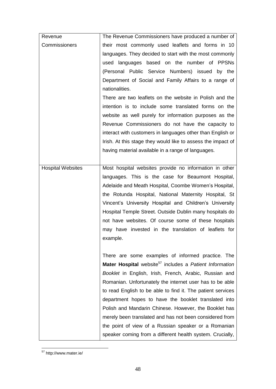| Revenue                  | The Revenue Commissioners have produced a number of                 |
|--------------------------|---------------------------------------------------------------------|
| Commissioners            | their most commonly used leaflets and forms in 10                   |
|                          | languages. They decided to start with the most commonly             |
|                          | used languages based on the number of PPSNs                         |
|                          | (Personal Public Service Numbers) issued by the                     |
|                          | Department of Social and Family Affairs to a range of               |
|                          | nationalities.                                                      |
|                          | There are two leaflets on the website in Polish and the             |
|                          | intention is to include some translated forms on the                |
|                          | website as well purely for information purposes as the              |
|                          | Revenue Commissioners do not have the capacity to                   |
|                          | interact with customers in languages other than English or          |
|                          | Irish. At this stage they would like to assess the impact of        |
|                          | having material available in a range of languages.                  |
|                          |                                                                     |
| <b>Hospital Websites</b> | Most hospital websites provide no information in other              |
|                          | languages. This is the case for Beaumont Hospital,                  |
|                          | Adelaide and Meath Hospital, Coombe Women's Hospital,               |
|                          | the Rotunda Hospital, National Maternity Hospital, St               |
|                          | Vincent's University Hospital and Children's University             |
|                          | Hospital Temple Street. Outside Dublin many hospitals do            |
|                          | not have websites. Of course some of these hospitals                |
|                          | may have invested in the translation of leaflets for                |
|                          | example.                                                            |
|                          |                                                                     |
|                          | There are some examples of informed practice. The                   |
|                          | Mater Hospital website <sup>57</sup> includes a Patient Information |
|                          | Booklet in English, Irish, French, Arabic, Russian and              |
|                          | Romanian. Unfortunately the internet user has to be able            |
|                          | to read English to be able to find it. The patient services         |
|                          | department hopes to have the booklet translated into                |
|                          | Polish and Mandarin Chinese. However, the Booklet has               |
|                          | merely been translated and has not been considered from             |
|                          | the point of view of a Russian speaker or a Romanian                |
|                          | speaker coming from a different health system. Crucially,           |

<sup>57</sup> <http://www.mater.ie/>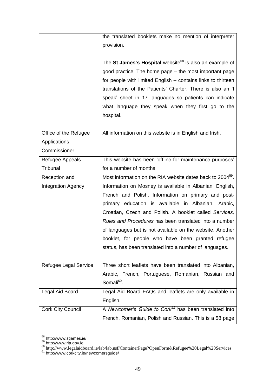|                                                       | the translated booklets make no mention of interpreter<br>provision.                                                                                                                                                                                                                                                                                                                                                                                                    |
|-------------------------------------------------------|-------------------------------------------------------------------------------------------------------------------------------------------------------------------------------------------------------------------------------------------------------------------------------------------------------------------------------------------------------------------------------------------------------------------------------------------------------------------------|
|                                                       | The St James's Hospital website <sup>58</sup> is also an example of<br>good practice. The home page – the most important page<br>for people with limited English – contains links to thirteen<br>translations of the Patients' Charter. There is also an 'I<br>speak' sheet in 17 languages so patients can indicate<br>what language they speak when they first go to the<br>hospital.                                                                                 |
| Office of the Refugee<br>Applications<br>Commissioner | All information on this website is in English and Irish.                                                                                                                                                                                                                                                                                                                                                                                                                |
| Refugee Appeals                                       | This website has been 'offline for maintenance purposes'                                                                                                                                                                                                                                                                                                                                                                                                                |
| Tribunal                                              | for a number of months.                                                                                                                                                                                                                                                                                                                                                                                                                                                 |
| Reception and                                         | Most information on the RIA website dates back to 2004 <sup>59</sup> .                                                                                                                                                                                                                                                                                                                                                                                                  |
| <b>Integration Agency</b>                             | Information on Mosney is available in Albanian, English,<br>French and Polish. Information on primary and post-<br>primary education is available in Albanian, Arabic,<br>Croatian, Czech and Polish. A booklet called Services,<br>Rules and Procedures has been translated into a number<br>of languages but is not available on the website. Another<br>booklet, for people who have been granted refugee<br>status, has been translated into a number of languages. |
| Refugee Legal Service                                 | Three short leaflets have been translated into Albanian,<br>Arabic, French, Portuguese, Romanian, Russian and<br>Somali <sup>60</sup> .                                                                                                                                                                                                                                                                                                                                 |
| Legal Aid Board                                       | Legal Aid Board FAQs and leaflets are only available in<br>English.                                                                                                                                                                                                                                                                                                                                                                                                     |
| <b>Cork City Council</b>                              | A Newcomer's Guide to Cork <sup>61</sup> has been translated into<br>French, Romanian, Polish and Russian. This is a 58 page                                                                                                                                                                                                                                                                                                                                            |

<sup>&</sup>lt;sup>58</sup> <http://www.stjames.ie/><br><sup>59</sup> <http://www.ria.gov.ie>

<sup>60</sup> <http://www.legalaidboard.ie/lab/lab.nsf/ContainerPage?OpenForm&Refugee%20Legal%20Services>

<sup>&</sup>lt;sup>61</sup> <http://www.corkcity.ie/newcomersguide/>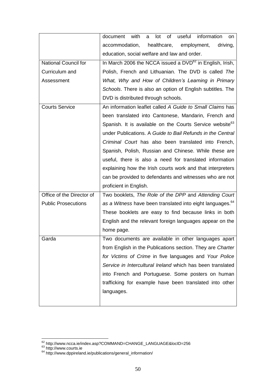|                             | information<br>document<br>with<br>useful<br>lot<br>of<br>a<br>on.    |
|-----------------------------|-----------------------------------------------------------------------|
|                             | accommodation,<br>healthcare,<br>employment,<br>driving,              |
|                             | education, social welfare and law and order.                          |
| <b>National Council for</b> | In March 2006 the NCCA issued a $DVD^{62}$ in English, Irish,         |
| Curriculum and              | Polish, French and Lithuanian. The DVD is called The                  |
| Assessment                  | What, Why and How of Children's Learning in Primary                   |
|                             | Schools. There is also an option of English subtitles. The            |
|                             | DVD is distributed through schools.                                   |
| <b>Courts Service</b>       | An information leaflet called A Guide to Small Claims has             |
|                             | been translated into Cantonese, Mandarin, French and                  |
|                             | Spanish. It is available on the Courts Service website <sup>63</sup>  |
|                             | under Publications. A Guide to Bail Refunds in the Central            |
|                             | Criminal Court has also been translated into French,                  |
|                             | Spanish, Polish, Russian and Chinese. While these are                 |
|                             | useful, there is also a need for translated information               |
|                             | explaining how the Irish courts work and that interpreters            |
|                             | can be provided to defendants and witnesses who are not               |
|                             | proficient in English.                                                |
| Office of the Director of   | Two booklets, The Role of the DPP and Attending Court                 |
| <b>Public Prosecutions</b>  | as a Witness have been translated into eight languages. <sup>64</sup> |
|                             | These booklets are easy to find because links in both                 |
|                             | English and the relevant foreign languages appear on the              |
|                             | home page.                                                            |
| Garda                       | Two documents are available in other languages apart                  |
|                             | from English in the Publications section. They are Charter            |
|                             | for Victims of Crime in five languages and Your Police                |
|                             | Service in Intercultural Ireland which has been translated            |
|                             | into French and Portuguese. Some posters on human                     |
|                             | trafficking for example have been translated into other               |
|                             | languages.                                                            |
|                             |                                                                       |

<sup>&</sup>lt;sup>62</sup> [http://www.ncca.ie/index.asp?COMMAND=CHANGE\\_LANGUAGE&lo](http://www.ncca.ie/index.asp?COMMAND=CHANGE_LANGUAGE&locID=256)cID=256

<sup>&</sup>lt;sup>63</sup> <http://www.courts.ie>

 $64$  [http://www.dppireland.ie/publications/general\\_information/](http://www.dppireland.ie/publications/general_information/)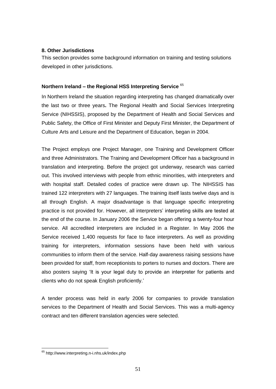#### **8. Other Jurisdictions**

This section provides some background information on training and testing solutions developed in other jurisdictions.

# **Northern Ireland <sup>ñ</sup> the Regional HSS Interpreting Service** 65

In Northern Ireland the situation regarding interpreting has changed dramatically over the last two or three years. The Regional Health and Social Services Interpreting Service (NIHSSIS), proposed by the Department of Health and Social Services and Public Safety, the Office of First Minister and Deputy First Minister, the Department of Culture Arts and Leisure and the Department of Education, began in 2004.

The Project employs one Project Manager, one Training and Development Officer and three Administrators. The Training and Development Officer has a background in translation and interpreting. Before the project got underway, research was carried out. This involved interviews with people from ethnic minorities, with interpreters and with hospital staff. Detailed codes of practice were drawn up. The NIHSSIS has trained 122 interpreters with 27 languages. The training itself lasts twelve days and is all through English. A major disadvantage is that language specific interpreting practice is not provided for. However, all interpreters' interpreting skills are tested at the end of the course. In January 2006 the Service began offering a twenty-four hour service. All accredited interpreters are included in a Register. In May 2006 the Service received 1,400 requests for face to face interpreters. As well as providing training for interpreters, information sessions have been held with various communities to inform them of the service. Half-day awareness raising sessions have been provided for staff, from receptionists to porters to nurses and doctors. There are been provided for staff, from receptionists to porters to nurses and doctors. There are<br>also posters saying 'It is your legal duty to provide an interpreter for patients and example was research stail, hold reseptions to poster<br>also posters saying 'It is your legal duty to pro<br>clients who do not speak English proficiently.'

A tender process was held in early 2006 for companies to provide translation services to the Department of Health and Social Services. This was a multi-agency contract and ten different translation agencies were selected.

<sup>65</sup> <http://www.interpreting.n-i.nhs.uk/index.php>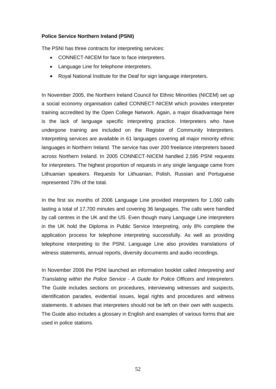#### **Police Service Northern Ireland (PSNI)**

The PSNI has three contracts for interpreting services:

- CONNECT-NICEM for face to face interpreters.
- Language Line for telephone interpreters.
- $\bullet$ Royal National Institute for the Deaf for sign language interpreters.

In November 2005, the Northern Ireland Council for Ethnic Minorities (NICEM) set up a social economy organisation called CONNECT-NICEM which provides interpreter training accredited by the Open College Network. Again, a major disadvantage here is the lack of language specific interpreting practice. Interpreters who have undergone training are included on the Register of Community Interpreters. Interpreting services are available in 61 languages covering all major minority ethnic languages in Northern Ireland. The service has over 200 freelance interpreters based across Northern Ireland. In 2005 CONNECT-NICEM handled 2,595 PSNI requests for interpreters. The highest proportion of requests in any single language came from Lithuanian speakers. Requests for Lithuanian, Polish, Russian and Portuguese represented 73% of the total.

In the first six months of 2006 Language Line provided interpreters for 1,060 calls lasting a total of 17,700 minutes and covering 36 languages. The calls were handled by call centres in the UK and the US.Even though many Language Line interpreters in the UK hold the Diploma in Public Service Interpreting, only 8% complete the application process for telephone interpreting successfully. As well as providing telephone interpreting to the PSNI, Language Line also provides translations of witness statements, annual reports, diversity documents and audio recordings.

In November 2006 the PSNI launched an information booklet called Interpreting and Translating within the Police Service - A Guide for Police Officers and Interpreters. The Guide includes sections on procedures, interviewing witnesses and suspects, identification parades, evidential issues, legal rights and procedures and witness statements. It advises that interpreters should not be left on their own with suspects. The Guide also includes a glossary in English and examples of various forms that are used in police stations.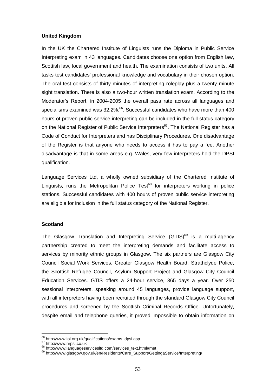#### **United Kingdom**

In the UK the Chartered Institute of Linguists runs the Diploma in Public Service Interpreting exam in 43 languages. Candidates choose one option from English law, Scottish law, local government and health. The examination consists of two units. All tasks test candidates' professional knowledge and vocabulary in their chosen option. The oral test consists of thirty minutes of interpreting roleplay plus a twenty minute sight translation. There is also a two-hour written translation exam. According to the Moderator's Report, in 2004-2005 the overall pass rate across all languages and<br>Moderator's Report, in 2004-2005 the overall pass rate across all languages and specialisms examined was 32.2%.<sup>66</sup>. Successful candidates who have more than 400 hours of proven public service interpreting can be included in the full status category on the National Register of Public Service Interpreters<sup>67</sup>. The National Register has a Code of Conduct for Interpreters and has Disciplinary Procedures. One disadvantage of the Register is that anyone who needs to access it has to pay a fee. Another disadvantage is that in some areas e.g. Wales, very few interpreters hold the DPSI qualification.

Language Services Ltd, a wholly owned subsidiary of the Chartered Institute of Linguists, runs the Metropolitan Police Test<sup>68</sup> for interpreters working in police stations. Successful candidates with 400 hours of proven public service interpreting are eligible for inclusion in the full status category of the National Register.

#### **Scotland**

The Glasgow Translation and Interpreting Service (GTIS)<sup>69</sup> is a multi-agency partnership created to meet the interpreting demands and facilitate access to services by minority ethnic groups in Glasgow. The six partners are Glasgow City Council Social Work Services, Greater Glasgow Health Board, Strathclyde Police, the Scottish Refugee Council, Asylum Support Project and Glasgow City Council Education Services. GTIS offers a 24-hour service, 365 days a year. Over 250 sessional interpreters, speaking around 45 languages, provide language support, with all interpreters having been recruited through the standard Glasgow City Council procedures and screened by the Scottish Criminal Records Office. Unfortunately, despite email and telephone queries, it proved impossible to obtain information on

<sup>66</sup> [http://www.iol.org.uk/qualifications/exams\\_dpsi.asp](http://www.iol.org.uk/qualifications/exams_dpsi.asp)

<sup>67&</sup>lt;br><http://www.nrpsi.co.uk><br><sup>68</sup> http://www.languageservicesltd.com/services\_text.html#met

<sup>&</sup>lt;sup>69</sup> [http://www.glasgow.gov.uk/en/Residents/Care\\_Support/GettingaService/Interpreting/](http://www.glasgow.gov.uk/en/Residents/Care_Support/GettingaService/Interpreting/)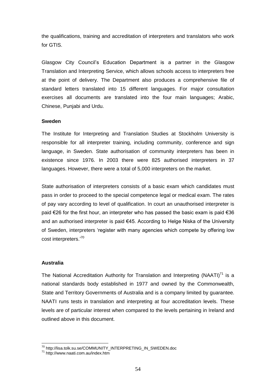the qualifications, training and accreditation of interpreters and translators who work for GTIS.

Glasgow City Council's Education Department is a partner in the Glasgow Translation and Interpreting Service, which allows schools access to interpreters free at the point of delivery. The Department also produces a comprehensive file of standard letters translated into 15 different languages. For major consultation exercises all documents are translated into the four main languages; Arabic, Chinese, Punjabi and Urdu.

#### **Sweden**

The Institute for Interpreting and Translation Studies at Stockholm University is responsible for all interpreter training, including community, conference and sign language, in Sweden. State authorisation of community interpreters has been in existence since 1976. In 2003 there were 825 authorised interpreters in 37 languages. However, there were a total of 5,000 interpreters on the market.

State authorisation of interpreters consists of a basic exam which candidates must pass in order to proceed to the special competence legal or medical exam. The rates of pay vary according to level of qualification. In court an unauthorised interpreter is pace in creative proceed to the epocial compounts regal or modical critim the rated<br>of pay vary according to level of qualification. In court an unauthorised interpreter is<br>paid €26 for the first hour, an interpreter who paid  $\epsilon$ 26 for the first hour, an interpreter who has passed the basic exam is paid  $\epsilon$ 36 and an authorised interpreter is paid  $\epsilon$ 45. According to Helge Niska of the University paid the time intervent, an interpreter time has passed the sacre shall be paid to and an authorised interpreter is paid €45. According to Helge Niska of the University of Sweden, interpreters 'register with many agencies of Sweden, interpreters.<sup>70</sup><br>cost interpreters.<sup>70</sup>

#### **Australia**

The National Accreditation Authority for Translation and Interpreting (NAATI) $^{71}$  is a national standards body established in 1977 and owned by the Commonwealth, State and Territory Governments of Australia and is a company limited by guarantee. NAATI runs tests in translation and interpreting at four accreditation levels. These levels are of particular interest when compared to the levels pertaining in Ireland and outlined above in this document.

<sup>&</sup>lt;sup>70</sup> [http://lisa.tolk.su.se/COMMUNITY\\_INTERPRETING\\_IN\\_SWEDEN](http://lisa.tolk.su.se/COMMUNITY_INTERPRETING_IN_SWEDEN.doc).doc

<sup>&</sup>lt;sup>71</sup> <http://www.naati.com.au/index.htm>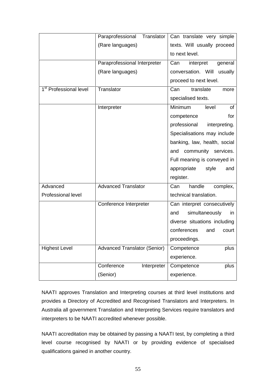| texts. Will usually proceed<br>(Rare languages)<br>to next level.<br>Paraprofessional Interpreter<br>Can<br>interpret<br>general<br>conversation. Will usually<br>(Rare languages)<br>proceed to next level.<br>1 <sup>st</sup> Professional level<br>Translator<br>translate<br>Can<br>more<br>specialised texts.<br>Minimum<br>Interpreter<br>level<br><b>of</b><br>for<br>competence<br>professional<br>interpreting.<br>Specialisations may include<br>banking, law, health, social<br>community services.<br>and<br>Full meaning is conveyed in |
|------------------------------------------------------------------------------------------------------------------------------------------------------------------------------------------------------------------------------------------------------------------------------------------------------------------------------------------------------------------------------------------------------------------------------------------------------------------------------------------------------------------------------------------------------|
|                                                                                                                                                                                                                                                                                                                                                                                                                                                                                                                                                      |
|                                                                                                                                                                                                                                                                                                                                                                                                                                                                                                                                                      |
|                                                                                                                                                                                                                                                                                                                                                                                                                                                                                                                                                      |
|                                                                                                                                                                                                                                                                                                                                                                                                                                                                                                                                                      |
|                                                                                                                                                                                                                                                                                                                                                                                                                                                                                                                                                      |
|                                                                                                                                                                                                                                                                                                                                                                                                                                                                                                                                                      |
|                                                                                                                                                                                                                                                                                                                                                                                                                                                                                                                                                      |
|                                                                                                                                                                                                                                                                                                                                                                                                                                                                                                                                                      |
|                                                                                                                                                                                                                                                                                                                                                                                                                                                                                                                                                      |
|                                                                                                                                                                                                                                                                                                                                                                                                                                                                                                                                                      |
|                                                                                                                                                                                                                                                                                                                                                                                                                                                                                                                                                      |
|                                                                                                                                                                                                                                                                                                                                                                                                                                                                                                                                                      |
|                                                                                                                                                                                                                                                                                                                                                                                                                                                                                                                                                      |
|                                                                                                                                                                                                                                                                                                                                                                                                                                                                                                                                                      |
| appropriate<br>style<br>and                                                                                                                                                                                                                                                                                                                                                                                                                                                                                                                          |
| register.                                                                                                                                                                                                                                                                                                                                                                                                                                                                                                                                            |
| Advanced<br><b>Advanced Translator</b><br>handle<br>Can<br>complex,                                                                                                                                                                                                                                                                                                                                                                                                                                                                                  |
| Professional level<br>technical translation.                                                                                                                                                                                                                                                                                                                                                                                                                                                                                                         |
| Conference Interpreter<br>Can interpret consecutively                                                                                                                                                                                                                                                                                                                                                                                                                                                                                                |
| simultaneously<br>and<br>in                                                                                                                                                                                                                                                                                                                                                                                                                                                                                                                          |
|                                                                                                                                                                                                                                                                                                                                                                                                                                                                                                                                                      |
| diverse situations including                                                                                                                                                                                                                                                                                                                                                                                                                                                                                                                         |
| conferences<br>and<br>court                                                                                                                                                                                                                                                                                                                                                                                                                                                                                                                          |
| proceedings.                                                                                                                                                                                                                                                                                                                                                                                                                                                                                                                                         |
| <b>Highest Level</b><br><b>Advanced Translator (Senior)</b><br>plus<br>Competence                                                                                                                                                                                                                                                                                                                                                                                                                                                                    |
| experience.                                                                                                                                                                                                                                                                                                                                                                                                                                                                                                                                          |
| Conference<br>Interpreter<br>Competence<br>plus                                                                                                                                                                                                                                                                                                                                                                                                                                                                                                      |

NAATI approves Translation and Interpreting courses at third level institutions and provides a Directory of Accredited and Recognised Translators and Interpreters. In Australia all government Translation and Interpreting Services require translators and interpreters to be NAATI accredited whenever possible.

NAATI accreditation may be obtained by passing a NAATI test, by completing a third level course recognised by NAATI or by providing evidence of specialised qualifications gained in another country.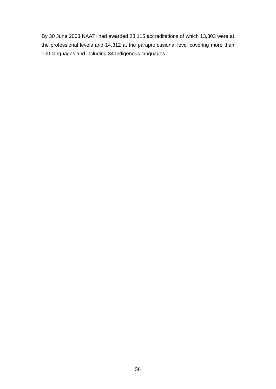By 30 June 2003 NAATI had awarded 28,115 accreditations of which 13,803 were at the professional levels and 14,312 at the paraprofessional level covering more than 100 languages and including 34 Indigenous languages.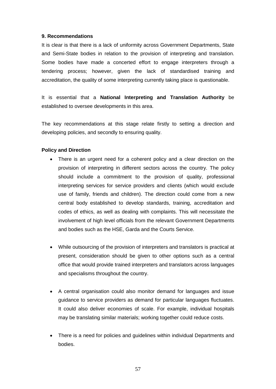#### **9. Recommendations**

It is clear is that there is a lack of uniformity across Government Departments, State and Semi-State bodies in relation to the provision of interpreting and translation. Some bodies have made a concerted effort to engage interpreters through a tendering process; however, given the lack of standardised training and accreditation, the quality of some interpreting currently taking place is questionable.

It is essential that a **National Interpreting and Translation Authority** be established to oversee developments in this area.

The key recommendations at this stage relate firstly to setting a direction and developing policies, and secondly to ensuring quality.

### **Policy and Direction**

- There is an urgent need for a coherent policy and a clear direction on the provision of interpreting in different sectors across the country. The policy should include a commitment to the provision of quality, professional interpreting services for service providers and clients (which would exclude use of family, friends and children). The direction could come from a new central body established to develop standards, training, accreditation and codes of ethics, as well as dealing with complaints. This will necessitate the involvement of high level officials from the relevant Government Departments and bodies such as the HSE, Garda and the Courts Service.
- $\bullet$  While outsourcing of the provision of interpreters and translators is practical at present, consideration should be given to other options such as a central office that would provide trained interpreters and translators across languages and specialisms throughout the country.
- A central organisation could also monitor demand for languages and issue guidance to service providers as demand for particular languages fluctuates. It could also deliver economies of scale. For example, individual hospitals may be translating similar materials; working together could reduce costs.
- There is a need for policies and guidelines within individual Departments and bodies.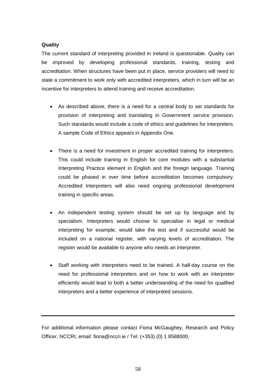#### **Quality**

The current standard of interpreting provided in Ireland is questionable. Quality can be improved by developing professional standards, training, testing and accreditation. When structures have been put in place, service providers will need to state a commitment to work only with accredited interpreters, which in turn will be an incentive for interpreters to attend training and receive accreditation.

- As described above, there is a need for a central body to set standards for provision of interpreting and translating in Government service provision. Such standards would include a code of ethics and guidelines for interpreters. A sample Code of Ethics appears in Appendix One.
- There is a need for investment in proper accredited training for interpreters. This could include training in English for core modules with a substantial Interpreting Practice element in English and the foreign language. Training could be phased in over time before accreditation becomes compulsory. Accredited Interpreters will also need ongoing professional development training in specific areas.
- An independent testing system should be set up by language and by specialism. Interpreters would choose to specialise in legal or medical interpreting for example, would take the test and if successful would be included on a national register, with varying levels of accreditation. The register would be available to anyone who needs an interpreter.
- Staff working with interpreters need to be trained. A half-day course on the need for professional interpreters and on how to work with an interpreter efficiently would lead to both a better understanding of the need for qualified interpreters and a better experience of interpreted sessions.

For additional information please contact Fiona McGaughey, Research and Policy Officer, NCCRI, email: [fiona@nccri.ie](mailto:fiona@nccri.ie) / Tel: (+353) (0) 1 8588000.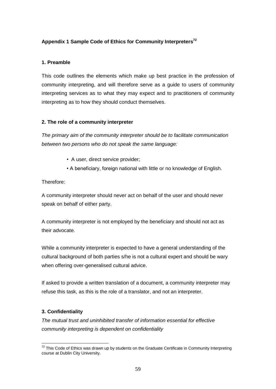#### **Appendix 1 Sample Code of Ethics for Community Interpreters 72**

#### **1. Preamble**

This code outlines the elements which make up best practice in the profession of community interpreting, and will therefore serve as a guide to users of community interpreting services as to what they may expect and to practitioners of community interpreting as to how they should conduct themselves.

#### **2. The role of a community interpreter**

The primary aim of the community interpreter should be to facilitate communication between two persons who do not speak the same language: *ï*

- A user, direct service provider;
- <sup>A</sup> beneficiary, foreign national with little or no knowledge of English.

Therefore:

A community interpreter should never act on behalf of the user and should never speak on behalf of either party.

A community interpreter is not employed by the beneficiary and should not act as their advocate.

While a community interpreter is expected to have a general understanding of the cultural background of both parties s/he is not a cultural expert and should be wary when offering over-generalised cultural advice.

If asked to provide a written translation of a document, a community interpreter may refuse this task, as this is the role of a translator, and not an interpreter.

#### **3. Confidentiality**

The mutual trust and uninhibited transfer of information essential for effective community interpreting is dependent on confidentiality

 $72$  This Code of Ethics was drawn up by students on the Graduate Certificate in Community Interpreting course at Dublin City University.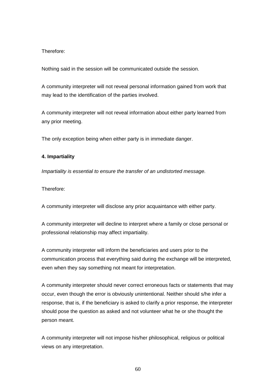#### Therefore:

Nothing said in the session will be communicated outside the session.

A community interpreter will not reveal personal information gained from work that may lead to the identification of the parties involved.

A community interpreter will not reveal information about either party learned from any prior meeting.

The only exception being when either party is in immediate danger.

#### **4. Impartiality**

Impartiality is essential to ensure the transfer of an undistorted message.

Therefore:

A community interpreter will disclose any prior acquaintance with either party.

A community interpreter will decline to interpret where a family or close personal or professional relationship may affect impartiality.

A community interpreter will inform the beneficiaries and users prior to the communication process that everything said during the exchange will be interpreted, even when they say something not meant for interpretation.

A community interpreter should never correct erroneous facts or statements that may occur, even though the error is obviously unintentional. Neither should s/he infer a response, that is, if the beneficiary is asked to clarify a prior response, the interpreter should pose the question as asked and not volunteer what he or she thought the person meant.

A community interpreter will not impose his/her philosophical, religious or political views on any interpretation.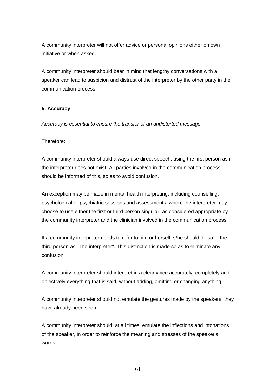A community interpreter will not offer advice or personal opinions either on own initiative or when asked.

A community interpreter should bear in mind that lengthy conversations with a speaker can lead to suspicion and distrust of the interpreter by the other party in the communication process.

#### **5. Accuracy**

Accuracy is essential to ensure the transfer of an undistorted message.

#### Therefore:

A community interpreter should always use direct speech, using the first person as if the interpreter does not exist. All parties involved in the communication process should be informed of this, so as to avoid confusion.

An exception may be made in mental health interpreting, including counselling, psychological or psychiatric sessions and assessments, where the interpreter may choose to use either the first or third person singular, as considered appropriate by the community interpreter and the clinician involved in the communication process.

If a community interpreter needs to refer to him or herself, s/he should do so in the third person as "The interpreter". This distinction is made so as to eliminate any confusion.

A community interpreter should interpret in a clear voice accurately, completely and objectively everything that is said, without adding, omitting or changing anything.

A community interpreter should not emulate the gestures made by the speakers; they have already been seen.

A community interpreter should, at all times, emulate the inflections and intonations of the speaker, in order to reinforce the meaning and stresses of the speaker's words.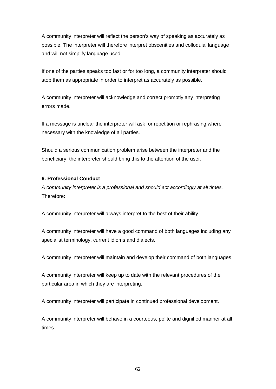A community interpreter will reflect the person's way of speaking as accurately as possible. The interpreter will therefore interpret obscenities and colloquial language and will not simplify language used.

If one of the parties speaks too fast or for too long, a community interpreter should stop them as appropriate in order to interpret as accurately as possible.

A community interpreter will acknowledge and correct promptly any interpreting errors made.

If a message is unclear the interpreter will ask for repetition or rephrasing where necessary with the knowledge of all parties.

Should a serious communication problem arise between the interpreter and the beneficiary, the interpreter should bring this to the attention of the user.

#### **6. Professional Conduct**

A community interpreter is a professional and should act accordingly at all times. Therefore:

A community interpreter will always interpret to the best of their ability.

A community interpreter will have a good command of both languages including any specialist terminology, current idioms and dialects.

A community interpreter will maintain and develop their command of both languages

A community interpreter will keep up to date with the relevant procedures of the particular area in which they are interpreting.

A community interpreter will participate in continued professional development.

A community interpreter will behave in a courteous, polite and dignified manner at all times.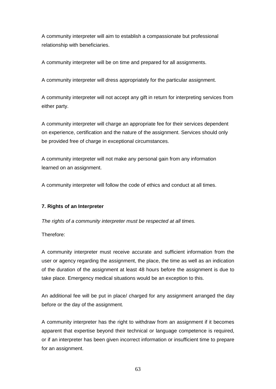A community interpreter will aim to establish a compassionate but professional relationship with beneficiaries.

A community interpreter will be on time and prepared for all assignments.

A community interpreter will dress appropriately for the particular assignment.

A community interpreter will not accept any giftin return for interpreting services from either party.

A community interpreter will charge an appropriate fee for their services dependent on experience, certification and the nature of the assignment. Services should only be provided free of charge in exceptional circumstances.

A community interpreter will not make any personal gain from any information learned on an assignment.

A community interpreter will follow the code of ethics and conduct at all times.

#### **7. Rights of an Interpreter**

The rights of a community interpreter must be respected at all times.

Therefore:

A community interpreter must receive accurate and sufficient information from the user or agency regarding the assignment, the place, the time as wellas an indication of the duration of the assignment at least 48 hours before the assignment is due to take place. Emergency medical situations would be an exception to this.

An additional fee will be put in place/ charged for any assignment arranged the day before or the day of the assignment.

A community interpreter has the right to withdraw from an assignment if it becomes apparent that expertise beyond their technical or language competence is required, or if an interpreter has been given incorrect information or insufficient time to prepare for an assignment.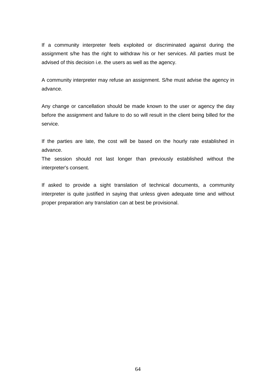If a community interpreter feels exploited or discriminated against during the assignment s/he has the right to withdraw his or her services. All parties must be advised of this decision i.e. the users as well as the agency.

A community interpreter may refuse an assignment. S/he must advise the agency in advance.

Any change or cancellation should be made known to the user or agency the day before the assignment and failure to do so will result in the client being billed for the service.

If the parties are late, the cost will be based on the hourly rate established in advance.

The session should not last longer than previously established without the interpreter's consent.

If asked to provide a sight translation of technical documents, a community interpreter is quite justified in saying that unless given adequate time and without proper preparation any translation can at best be provisional.